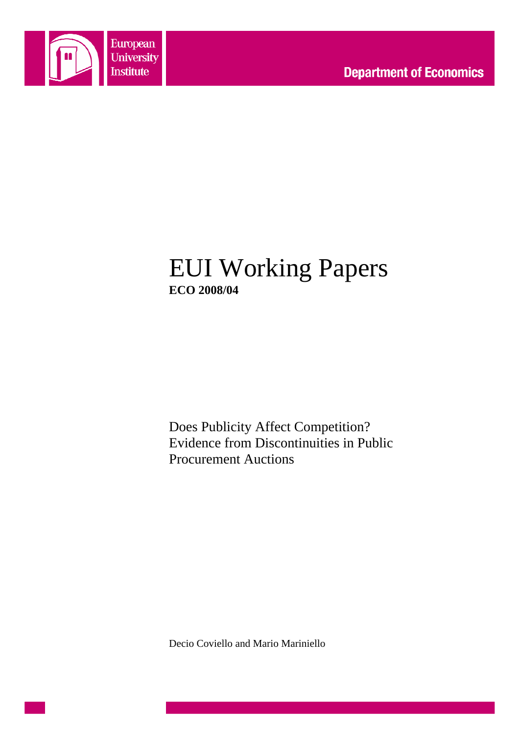

# EUI Working Papers **ECO 2008/04**

Does Publicity Affect Competition? Evidence from Discontinuities in Public Procurement Auctions

Decio Coviello and Mario Mariniello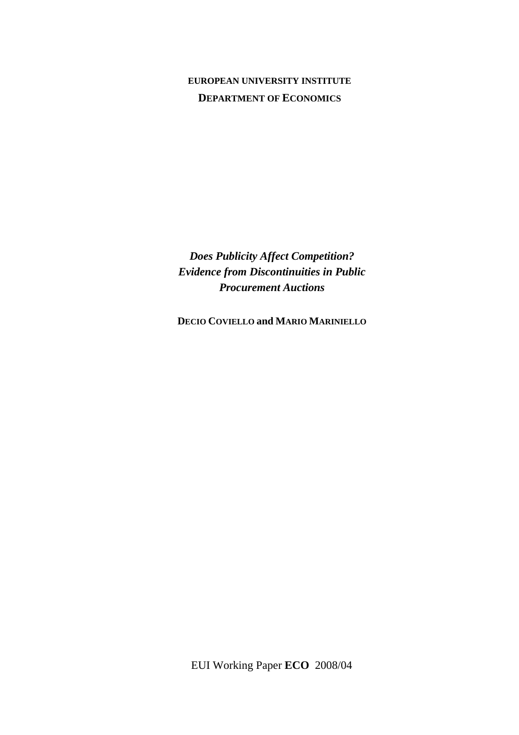## **EUROPEAN UNIVERSITY INSTITUTE DEPARTMENT OF ECONOMICS**

*Does Publicity Affect Competition? Evidence from Discontinuities in Public Procurement Auctions*

**DECIO COVIELLO and MARIO MARINIELLO**

EUI Working Paper **ECO** 2008/04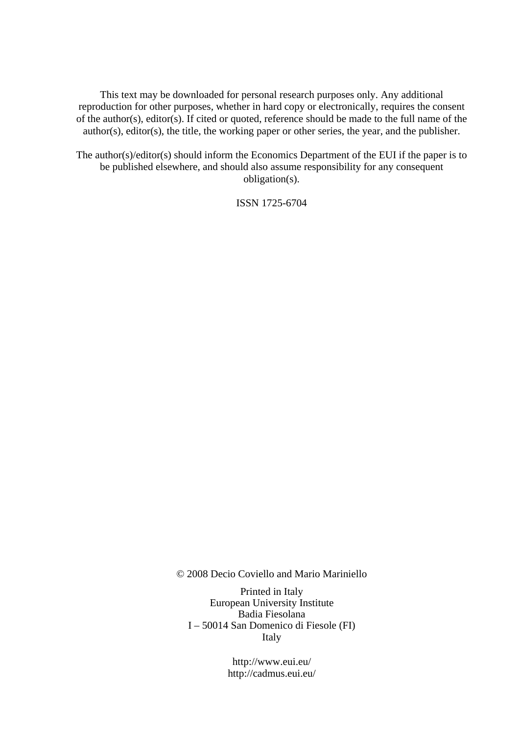This text may be downloaded for personal research purposes only. Any additional reproduction for other purposes, whether in hard copy or electronically, requires the consent of the author(s), editor(s). If cited or quoted, reference should be made to the full name of the author(s), editor(s), the title, the working paper or other series, the year, and the publisher.

The author(s)/editor(s) should inform the Economics Department of the EUI if the paper is to be published elsewhere, and should also assume responsibility for any consequent obligation(s).

ISSN 1725-6704

© 2008 Decio Coviello and Mario Mariniello

Printed in Italy European University Institute Badia Fiesolana I – 50014 San Domenico di Fiesole (FI) Italy

> http://www.eui.eu/ http://cadmus.eui.eu/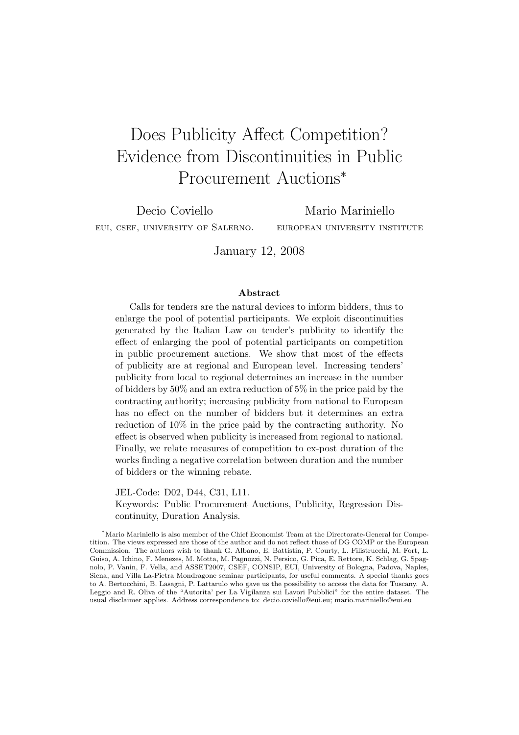# Does Publicity Affect Competition? Evidence from Discontinuities in Public Procurement Auctions<sup>∗</sup>

Decio Coviello eui, csef, university of Salerno.

Mario Mariniello european university institute

January 12, 2008

#### Abstract

Calls for tenders are the natural devices to inform bidders, thus to enlarge the pool of potential participants. We exploit discontinuities generated by the Italian Law on tender's publicity to identify the effect of enlarging the pool of potential participants on competition in public procurement auctions. We show that most of the effects of publicity are at regional and European level. Increasing tenders' publicity from local to regional determines an increase in the number of bidders by 50% and an extra reduction of 5% in the price paid by the contracting authority; increasing publicity from national to European has no effect on the number of bidders but it determines an extra reduction of 10% in the price paid by the contracting authority. No effect is observed when publicity is increased from regional to national. Finally, we relate measures of competition to ex-post duration of the works finding a negative correlation between duration and the number of bidders or the winning rebate.

JEL-Code: D02, D44, C31, L11. Keywords: Public Procurement Auctions, Publicity, Regression Discontinuity, Duration Analysis.

<sup>∗</sup>Mario Mariniello is also member of the Chief Economist Team at the Directorate-General for Competition. The views expressed are those of the author and do not reflect those of DG COMP or the European Commission. The authors wish to thank G. Albano, E. Battistin, P. Courty, L. Filistrucchi, M. Fort, L. Guiso, A. Ichino, F. Menezes, M. Motta, M. Pagnozzi, N. Persico, G. Pica, E. Rettore, K. Schlag, G. Spagnolo, P. Vanin, F. Vella, and ASSET2007, CSEF, CONSIP, EUI, University of Bologna, Padova, Naples, Siena, and Villa La-Pietra Mondragone seminar participants, for useful comments. A special thanks goes to A. Bertocchini, B. Lasagni, P. Lattarulo who gave us the possibility to access the data for Tuscany. A. Leggio and R. Oliva of the "Autorita' per La Vigilanza sui Lavori Pubblici" for the entire dataset. The usual disclaimer applies. Address correspondence to: decio.coviello@eui.eu; mario.mariniello@eui.eu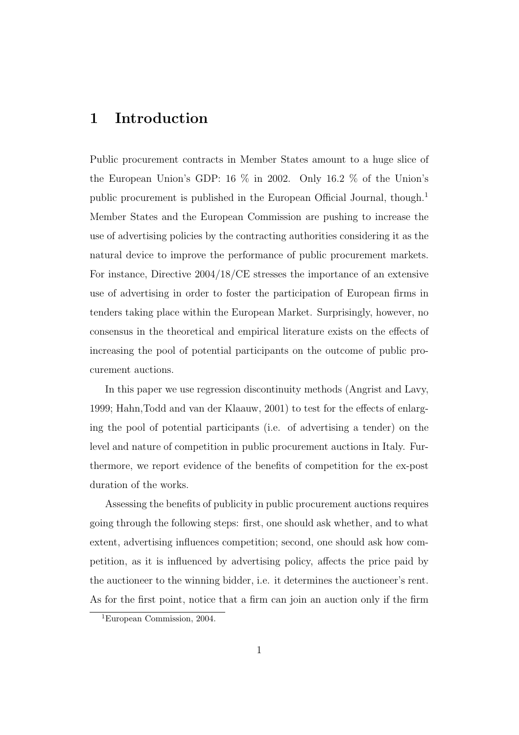## 1 Introduction

Public procurement contracts in Member States amount to a huge slice of the European Union's GDP: 16 % in 2002. Only 16.2 % of the Union's public procurement is published in the European Official Journal, though.<sup>1</sup> Member States and the European Commission are pushing to increase the use of advertising policies by the contracting authorities considering it as the natural device to improve the performance of public procurement markets. For instance, Directive 2004/18/CE stresses the importance of an extensive use of advertising in order to foster the participation of European firms in tenders taking place within the European Market. Surprisingly, however, no consensus in the theoretical and empirical literature exists on the effects of increasing the pool of potential participants on the outcome of public procurement auctions.

In this paper we use regression discontinuity methods (Angrist and Lavy, 1999; Hahn,Todd and van der Klaauw, 2001) to test for the effects of enlarging the pool of potential participants (i.e. of advertising a tender) on the level and nature of competition in public procurement auctions in Italy. Furthermore, we report evidence of the benefits of competition for the ex-post duration of the works.

Assessing the benefits of publicity in public procurement auctions requires going through the following steps: first, one should ask whether, and to what extent, advertising influences competition; second, one should ask how competition, as it is influenced by advertising policy, affects the price paid by the auctioneer to the winning bidder, i.e. it determines the auctioneer's rent. As for the first point, notice that a firm can join an auction only if the firm

<sup>1</sup>European Commission, 2004.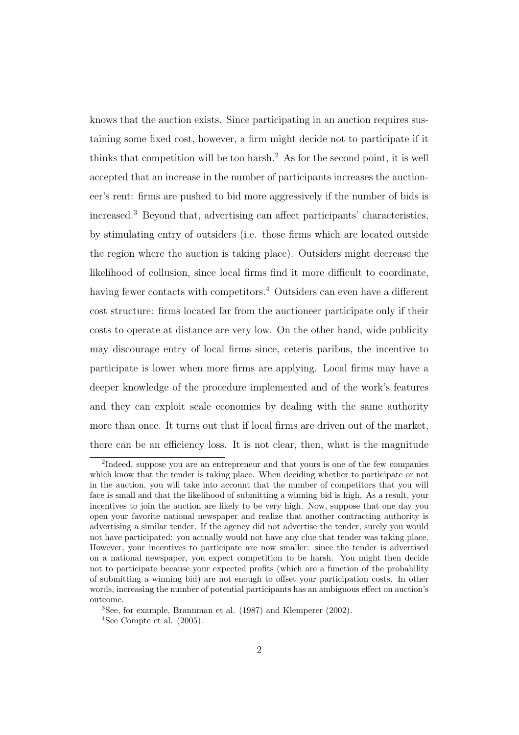knows that the auction exists. Since participating in an auction requires sustaining some fixed cost, however, a firm might decide not to participate if it thinks that competition will be too harsh.<sup>2</sup> As for the second point, it is well accepted that an increase in the number of participants increases the auctioneer's rent: firms are pushed to bid more aggressively if the number of bids is increased.<sup>3</sup> Beyond that, advertising can affect participants' characteristics, by stimulating entry of outsiders (i.e. those firms which are located outside the region where the auction is taking place). Outsiders might decrease the likelihood of collusion, since local firms find it more difficult to coordinate, having fewer contacts with competitors.<sup>4</sup> Outsiders can even have a different cost structure: firms located far from the auctioneer participate only if their costs to operate at distance are very low. On the other hand, wide publicity may discourage entry of local firms since, ceteris paribus, the incentive to participate is lower when more firms are applying. Local firms may have a deeper knowledge of the procedure implemented and of the work's features and they can exploit scale economies by dealing with the same authority more than once. It turns out that if local firms are driven out of the market, there can be an efficiency loss. It is not clear, then, what is the magnitude

<sup>&</sup>lt;sup>2</sup>Indeed, suppose you are an entrepreneur and that yours is one of the few companies which know that the tender is taking place. When deciding whether to participate or not in the auction, you will take into account that the number of competitors that you will face is small and that the likelihood of submitting a winning bid is high. As a result, your incentives to join the auction are likely to be very high. Now, suppose that one day you open your favorite national newspaper and realize that another contracting authority is advertising a similar tender. If the agency did not advertise the tender, surely you would not have participated: you actually would not have any clue that tender was taking place. However, your incentives to participate are now smaller: since the tender is advertised on a national newspaper, you expect competition to be harsh. You might then decide not to participate because your expected profits (which are a function of the probability of submitting a winning bid) are not enough to offset your participation costs. In other words, increasing the number of potential participants has an ambiguous effect on auction's outcome.

<sup>3</sup>See, for example, Brannman et al. (1987) and Klemperer (2002).  $4$ See Compte et al.  $(2005)$ .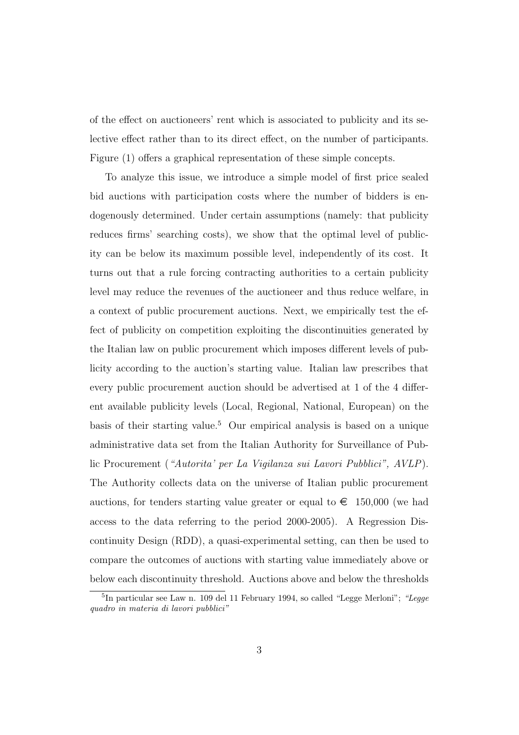of the effect on auctioneers' rent which is associated to publicity and its selective effect rather than to its direct effect, on the number of participants. Figure (1) offers a graphical representation of these simple concepts.

To analyze this issue, we introduce a simple model of first price sealed bid auctions with participation costs where the number of bidders is endogenously determined. Under certain assumptions (namely: that publicity reduces firms' searching costs), we show that the optimal level of publicity can be below its maximum possible level, independently of its cost. It turns out that a rule forcing contracting authorities to a certain publicity level may reduce the revenues of the auctioneer and thus reduce welfare, in a context of public procurement auctions. Next, we empirically test the effect of publicity on competition exploiting the discontinuities generated by the Italian law on public procurement which imposes different levels of publicity according to the auction's starting value. Italian law prescribes that every public procurement auction should be advertised at 1 of the 4 different available publicity levels (Local, Regional, National, European) on the basis of their starting value.<sup>5</sup> Our empirical analysis is based on a unique administrative data set from the Italian Authority for Surveillance of Public Procurement ("Autorita' per La Vigilanza sui Lavori Pubblici", AVLP). The Authority collects data on the universe of Italian public procurement auctions, for tenders starting value greater or equal to  $\epsilon$  150,000 (we had access to the data referring to the period 2000-2005). A Regression Discontinuity Design (RDD), a quasi-experimental setting, can then be used to compare the outcomes of auctions with starting value immediately above or below each discontinuity threshold. Auctions above and below the thresholds

<sup>&</sup>lt;sup>5</sup>In particular see Law n. 109 del 11 February 1994, so called "Legge Merloni"; "Legge quadro in materia di lavori pubblici"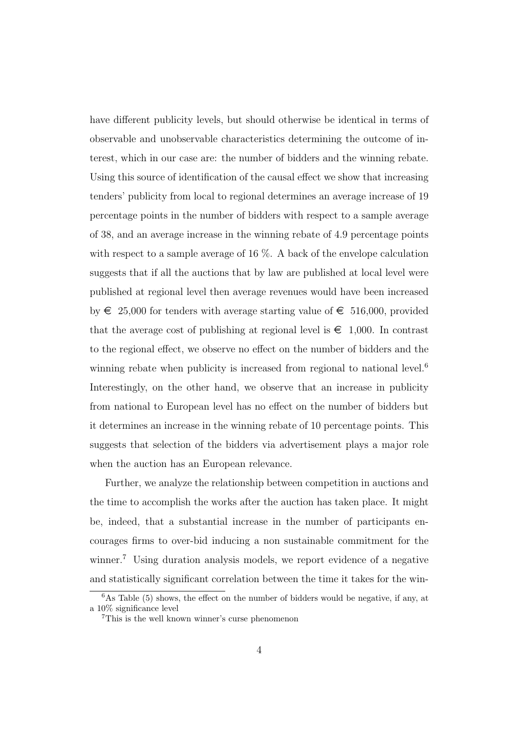have different publicity levels, but should otherwise be identical in terms of observable and unobservable characteristics determining the outcome of interest, which in our case are: the number of bidders and the winning rebate. Using this source of identification of the causal effect we show that increasing tenders' publicity from local to regional determines an average increase of 19 percentage points in the number of bidders with respect to a sample average of 38, and an average increase in the winning rebate of 4.9 percentage points with respect to a sample average of 16  $\%$ . A back of the envelope calculation suggests that if all the auctions that by law are published at local level were published at regional level then average revenues would have been increased by  $\in$  25,000 for tenders with average starting value of  $\in$  516,000, provided that the average cost of publishing at regional level is  $\epsilon \neq 1,000$ . In contrast to the regional effect, we observe no effect on the number of bidders and the winning rebate when publicity is increased from regional to national level.<sup>6</sup> Interestingly, on the other hand, we observe that an increase in publicity from national to European level has no effect on the number of bidders but it determines an increase in the winning rebate of 10 percentage points. This suggests that selection of the bidders via advertisement plays a major role when the auction has an European relevance.

Further, we analyze the relationship between competition in auctions and the time to accomplish the works after the auction has taken place. It might be, indeed, that a substantial increase in the number of participants encourages firms to over-bid inducing a non sustainable commitment for the winner.<sup>7</sup> Using duration analysis models, we report evidence of a negative and statistically significant correlation between the time it takes for the win-

 $6$ As Table (5) shows, the effect on the number of bidders would be negative, if any, at a 10% significance level

<sup>7</sup>This is the well known winner's curse phenomenon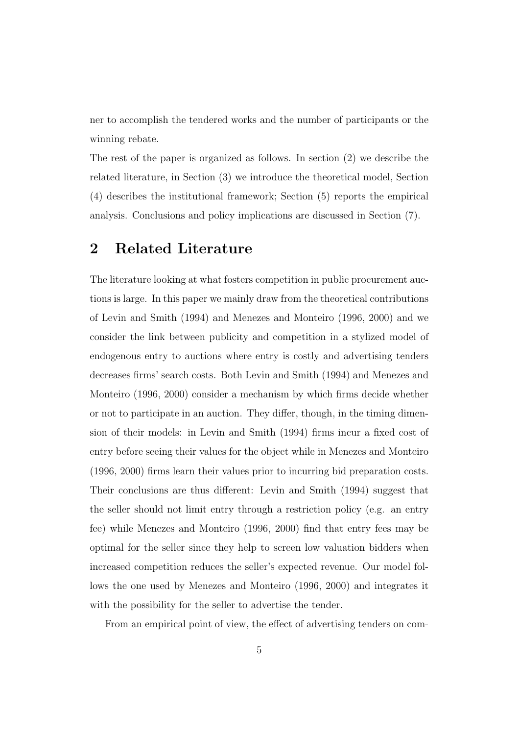ner to accomplish the tendered works and the number of participants or the winning rebate.

The rest of the paper is organized as follows. In section (2) we describe the related literature, in Section (3) we introduce the theoretical model, Section (4) describes the institutional framework; Section (5) reports the empirical analysis. Conclusions and policy implications are discussed in Section (7).

## 2 Related Literature

The literature looking at what fosters competition in public procurement auctions is large. In this paper we mainly draw from the theoretical contributions of Levin and Smith (1994) and Menezes and Monteiro (1996, 2000) and we consider the link between publicity and competition in a stylized model of endogenous entry to auctions where entry is costly and advertising tenders decreases firms' search costs. Both Levin and Smith (1994) and Menezes and Monteiro (1996, 2000) consider a mechanism by which firms decide whether or not to participate in an auction. They differ, though, in the timing dimension of their models: in Levin and Smith (1994) firms incur a fixed cost of entry before seeing their values for the object while in Menezes and Monteiro (1996, 2000) firms learn their values prior to incurring bid preparation costs. Their conclusions are thus different: Levin and Smith (1994) suggest that the seller should not limit entry through a restriction policy (e.g. an entry fee) while Menezes and Monteiro (1996, 2000) find that entry fees may be optimal for the seller since they help to screen low valuation bidders when increased competition reduces the seller's expected revenue. Our model follows the one used by Menezes and Monteiro (1996, 2000) and integrates it with the possibility for the seller to advertise the tender.

From an empirical point of view, the effect of advertising tenders on com-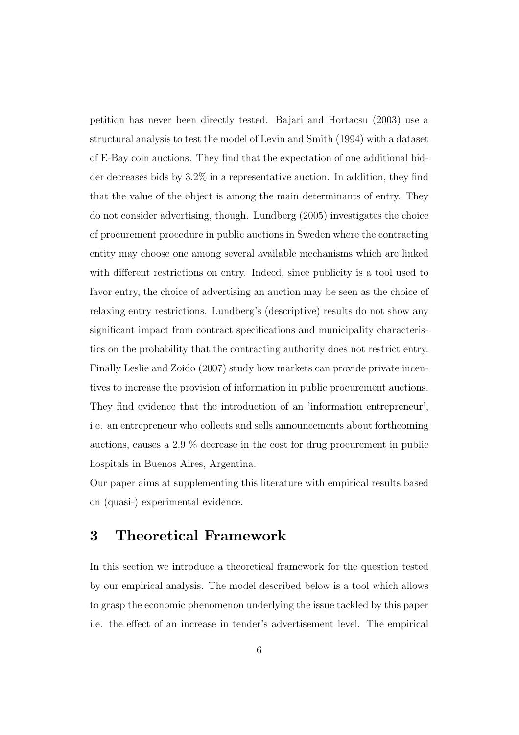petition has never been directly tested. Bajari and Hortacsu (2003) use a structural analysis to test the model of Levin and Smith (1994) with a dataset of E-Bay coin auctions. They find that the expectation of one additional bidder decreases bids by 3.2% in a representative auction. In addition, they find that the value of the object is among the main determinants of entry. They do not consider advertising, though. Lundberg (2005) investigates the choice of procurement procedure in public auctions in Sweden where the contracting entity may choose one among several available mechanisms which are linked with different restrictions on entry. Indeed, since publicity is a tool used to favor entry, the choice of advertising an auction may be seen as the choice of relaxing entry restrictions. Lundberg's (descriptive) results do not show any significant impact from contract specifications and municipality characteristics on the probability that the contracting authority does not restrict entry. Finally Leslie and Zoido (2007) study how markets can provide private incentives to increase the provision of information in public procurement auctions. They find evidence that the introduction of an 'information entrepreneur', i.e. an entrepreneur who collects and sells announcements about forthcoming auctions, causes a 2.9 % decrease in the cost for drug procurement in public hospitals in Buenos Aires, Argentina.

Our paper aims at supplementing this literature with empirical results based on (quasi-) experimental evidence.

## 3 Theoretical Framework

In this section we introduce a theoretical framework for the question tested by our empirical analysis. The model described below is a tool which allows to grasp the economic phenomenon underlying the issue tackled by this paper i.e. the effect of an increase in tender's advertisement level. The empirical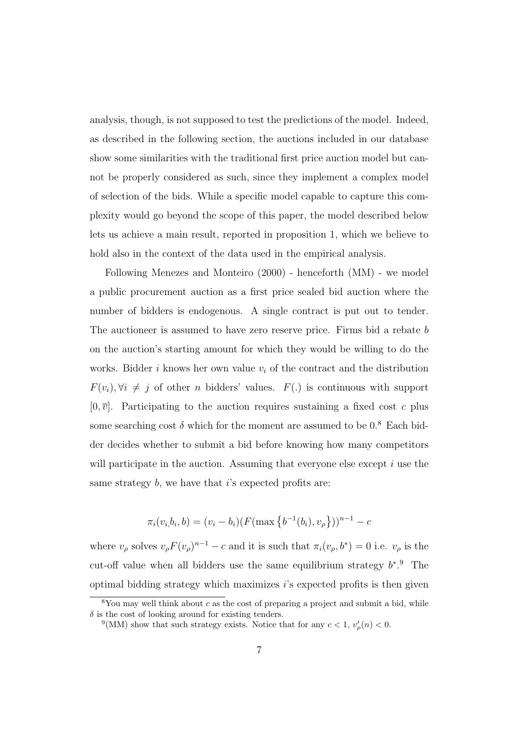analysis, though, is not supposed to test the predictions of the model. Indeed, as described in the following section, the auctions included in our database show some similarities with the traditional first price auction model but cannot be properly considered as such, since they implement a complex model of selection of the bids. While a specific model capable to capture this complexity would go beyond the scope of this paper, the model described below lets us achieve a main result, reported in proposition 1, which we believe to hold also in the context of the data used in the empirical analysis.

Following Menezes and Monteiro (2000) - henceforth (MM) - we model a public procurement auction as a first price sealed bid auction where the number of bidders is endogenous. A single contract is put out to tender. The auctioneer is assumed to have zero reserve price. Firms bid a rebate b on the auction's starting amount for which they would be willing to do the works. Bidder i knows her own value  $v_i$  of the contract and the distribution  $F(v_i), \forall i \neq j$  of other n bidders' values.  $F(.)$  is continuous with support  $[0, \overline{v}]$ . Participating to the auction requires sustaining a fixed cost c plus some searching cost  $\delta$  which for the moment are assumed to be 0.<sup>8</sup> Each bidder decides whether to submit a bid before knowing how many competitors will participate in the auction. Assuming that everyone else except  $i$  use the same strategy  $b$ , we have that i's expected profits are:

$$
\pi_i(v_i, b_i, b) = (v_i - b_i)(F(\max\{b^{-1}(b_i), v_\rho\}))^{n-1} - c
$$

where  $v_{\rho}$  solves  $v_{\rho} F(v_{\rho})^{n-1} - c$  and it is such that  $\pi_i(v_{\rho}, b^*) = 0$  i.e.  $v_{\rho}$  is the cut-off value when all bidders use the same equilibrium strategy  $b^*$ . The optimal bidding strategy which maximizes  $i$ 's expected profits is then given

 $8$ You may well think about c as the cost of preparing a project and submit a bid, while  $\delta$  is the cost of looking around for existing tenders.

<sup>&</sup>lt;sup>9</sup>(MM) show that such strategy exists. Notice that for any  $c < 1$ ,  $v'_{\rho}(n) < 0$ .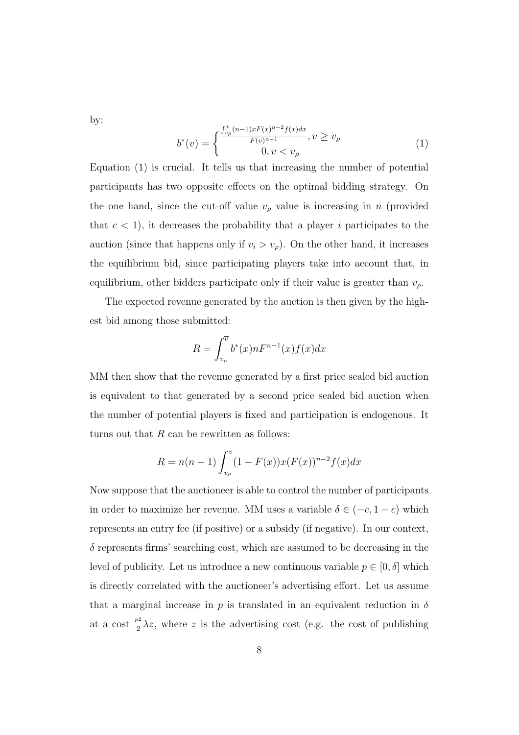by:

$$
b^*(v) = \begin{cases} \frac{\int_{v_\rho}^v (n-1)xF(x)^{n-2}f(x)dx}{F(v)^{n-1}}, v \ge v_\rho\\ 0, v < v_\rho \end{cases}
$$
(1)

Equation (1) is crucial. It tells us that increasing the number of potential participants has two opposite effects on the optimal bidding strategy. On the one hand, since the cut-off value  $v<sub>\rho</sub>$  value is increasing in n (provided that  $c < 1$ , it decreases the probability that a player i participates to the auction (since that happens only if  $v_i > v_\rho$ ). On the other hand, it increases the equilibrium bid, since participating players take into account that, in equilibrium, other bidders participate only if their value is greater than  $v_{\rho}$ .

The expected revenue generated by the auction is then given by the highest bid among those submitted:

$$
R = \int_{v_{\rho}}^{\overline{v}} b^*(x) n F^{n-1}(x) f(x) dx
$$

MM then show that the revenue generated by a first price sealed bid auction is equivalent to that generated by a second price sealed bid auction when the number of potential players is fixed and participation is endogenous. It turns out that  $R$  can be rewritten as follows:

$$
R = n(n-1) \int_{v_{\rho}}^{\overline{v}} (1 - F(x)) x(F(x))^{n-2} f(x) dx
$$

Now suppose that the auctioneer is able to control the number of participants in order to maximize her revenue. MM uses a variable  $\delta \in (-c, 1-c)$  which represents an entry fee (if positive) or a subsidy (if negative). In our context,  $\delta$  represents firms' searching cost, which are assumed to be decreasing in the level of publicity. Let us introduce a new continuous variable  $p \in [0, \delta]$  which is directly correlated with the auctioneer's advertising effort. Let us assume that a marginal increase in p is translated in an equivalent reduction in  $\delta$ at a cost  $\frac{p^2}{2}$  $\frac{\partial^2}{\partial z^2}$   $\lambda z$ , where z is the advertising cost (e.g. the cost of publishing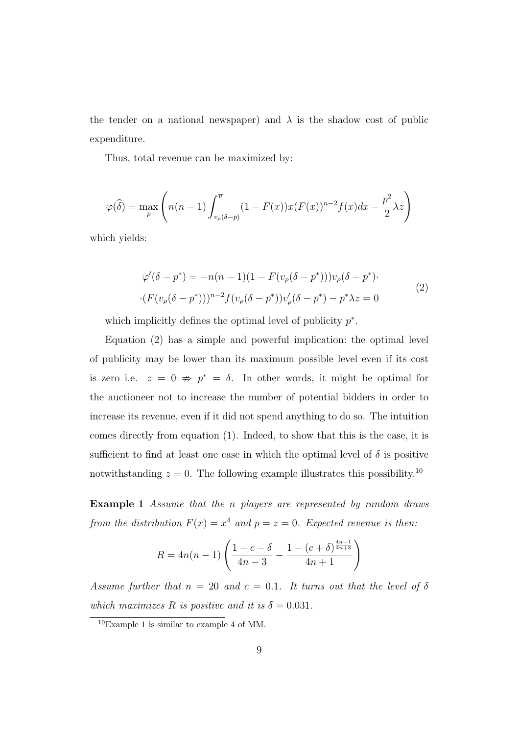the tender on a national newspaper) and  $\lambda$  is the shadow cost of public expenditure.

Thus, total revenue can be maximized by:

$$
\varphi(\widehat{\delta}) = \max_{p} \left( n(n-1) \int_{v_{\rho}(\delta - p)}^{\overline{v}} (1 - F(x)) x(F(x))^{n-2} f(x) dx - \frac{p^2}{2} \lambda z \right)
$$

which yields:

$$
\varphi'(\delta - p^*) = -n(n-1)(1 - F(v_{\rho}(\delta - p^*)))v_{\rho}(\delta - p^*)
$$
  
 
$$
\cdot (F(v_{\rho}(\delta - p^*)))^{n-2} f(v_{\rho}(\delta - p^*))v_{\rho}'(\delta - p^*) - p^*\lambda z = 0
$$
 (2)

which implicitly defines the optimal level of publicity  $p^*$ .

Equation (2) has a simple and powerful implication: the optimal level of publicity may be lower than its maximum possible level even if its cost is zero i.e.  $z = 0 \Rightarrow p^* = \delta$ . In other words, it might be optimal for the auctioneer not to increase the number of potential bidders in order to increase its revenue, even if it did not spend anything to do so. The intuition comes directly from equation (1). Indeed, to show that this is the case, it is sufficient to find at least one case in which the optimal level of  $\delta$  is positive notwithstanding  $z = 0$ . The following example illustrates this possibility.<sup>10</sup>

Example 1 Assume that the n players are represented by random draws from the distribution  $F(x) = x^4$  and  $p = z = 0$ . Expected revenue is then:

$$
R = 4n(n-1)\left(\frac{1-c-\delta}{4n-3} - \frac{1-(c+\delta)^{\frac{4n-1}{4n+3}}}{4n+1}\right)
$$

Assume further that  $n = 20$  and  $c = 0.1$ . It turns out that the level of  $\delta$ which maximizes R is positive and it is  $\delta = 0.031$ .

<sup>10</sup>Example 1 is similar to example 4 of MM.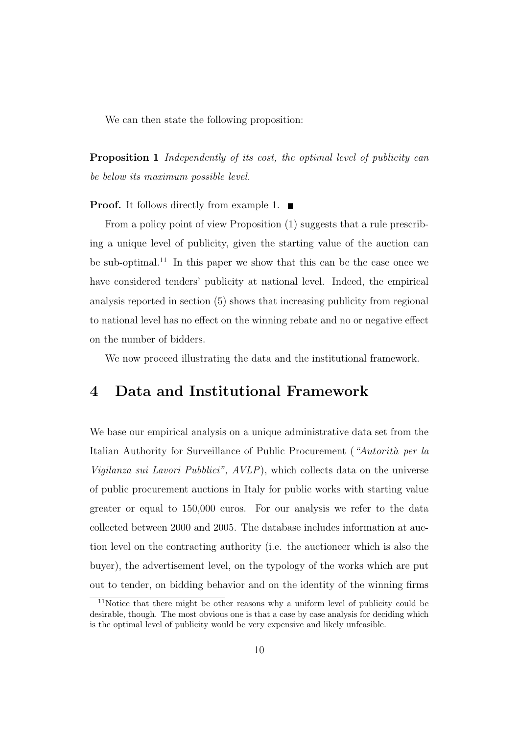We can then state the following proposition:

Proposition 1 Independently of its cost, the optimal level of publicity can be below its maximum possible level.

**Proof.** It follows directly from example 1.  $\blacksquare$ 

From a policy point of view Proposition (1) suggests that a rule prescribing a unique level of publicity, given the starting value of the auction can be sub-optimal.<sup>11</sup> In this paper we show that this can be the case once we have considered tenders' publicity at national level. Indeed, the empirical analysis reported in section (5) shows that increasing publicity from regional to national level has no effect on the winning rebate and no or negative effect on the number of bidders.

We now proceed illustrating the data and the institutional framework.

## 4 Data and Institutional Framework

We base our empirical analysis on a unique administrative data set from the Italian Authority for Surveillance of Public Procurement ("Autorità per la Vigilanza sui Lavori Pubblici", AVLP), which collects data on the universe of public procurement auctions in Italy for public works with starting value greater or equal to 150,000 euros. For our analysis we refer to the data collected between 2000 and 2005. The database includes information at auction level on the contracting authority (i.e. the auctioneer which is also the buyer), the advertisement level, on the typology of the works which are put out to tender, on bidding behavior and on the identity of the winning firms

<sup>11</sup>Notice that there might be other reasons why a uniform level of publicity could be desirable, though. The most obvious one is that a case by case analysis for deciding which is the optimal level of publicity would be very expensive and likely unfeasible.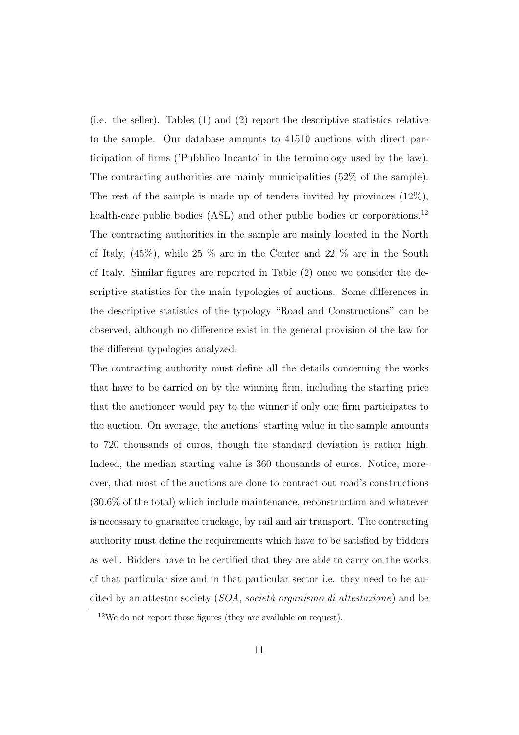(i.e. the seller). Tables (1) and (2) report the descriptive statistics relative to the sample. Our database amounts to 41510 auctions with direct participation of firms ('Pubblico Incanto' in the terminology used by the law). The contracting authorities are mainly municipalities (52% of the sample). The rest of the sample is made up of tenders invited by provinces  $(12\%)$ , health-care public bodies (ASL) and other public bodies or corporations.<sup>12</sup> The contracting authorities in the sample are mainly located in the North of Italy,  $(45\%)$ , while  $25\%$  are in the Center and  $22\%$  are in the South of Italy. Similar figures are reported in Table (2) once we consider the descriptive statistics for the main typologies of auctions. Some differences in the descriptive statistics of the typology "Road and Constructions" can be observed, although no difference exist in the general provision of the law for the different typologies analyzed.

The contracting authority must define all the details concerning the works that have to be carried on by the winning firm, including the starting price that the auctioneer would pay to the winner if only one firm participates to the auction. On average, the auctions' starting value in the sample amounts to 720 thousands of euros, though the standard deviation is rather high. Indeed, the median starting value is 360 thousands of euros. Notice, moreover, that most of the auctions are done to contract out road's constructions (30.6% of the total) which include maintenance, reconstruction and whatever is necessary to guarantee truckage, by rail and air transport. The contracting authority must define the requirements which have to be satisfied by bidders as well. Bidders have to be certified that they are able to carry on the works of that particular size and in that particular sector i.e. they need to be audited by an attestor society  $(SOA, \text{social or}$  organismo di attestazione) and be

 $12$ We do not report those figures (they are available on request).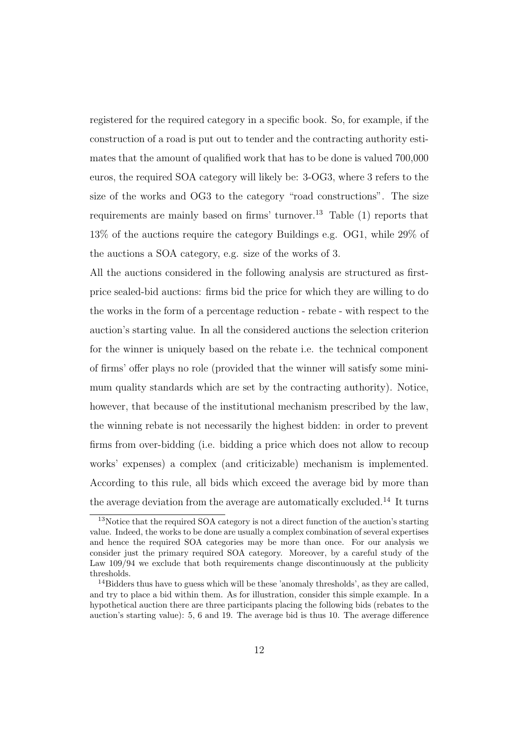registered for the required category in a specific book. So, for example, if the construction of a road is put out to tender and the contracting authority estimates that the amount of qualified work that has to be done is valued 700,000 euros, the required SOA category will likely be: 3-OG3, where 3 refers to the size of the works and OG3 to the category "road constructions". The size requirements are mainly based on firms' turnover.<sup>13</sup> Table (1) reports that 13% of the auctions require the category Buildings e.g. OG1, while 29% of the auctions a SOA category, e.g. size of the works of 3.

All the auctions considered in the following analysis are structured as firstprice sealed-bid auctions: firms bid the price for which they are willing to do the works in the form of a percentage reduction - rebate - with respect to the auction's starting value. In all the considered auctions the selection criterion for the winner is uniquely based on the rebate i.e. the technical component of firms' offer plays no role (provided that the winner will satisfy some minimum quality standards which are set by the contracting authority). Notice, however, that because of the institutional mechanism prescribed by the law, the winning rebate is not necessarily the highest bidden: in order to prevent firms from over-bidding (i.e. bidding a price which does not allow to recoup works' expenses) a complex (and criticizable) mechanism is implemented. According to this rule, all bids which exceed the average bid by more than the average deviation from the average are automatically excluded.<sup>14</sup> It turns

<sup>&</sup>lt;sup>13</sup>Notice that the required SOA category is not a direct function of the auction's starting value. Indeed, the works to be done are usually a complex combination of several expertises and hence the required SOA categories may be more than once. For our analysis we consider just the primary required SOA category. Moreover, by a careful study of the Law  $109/94$  we exclude that both requirements change discontinuously at the publicity thresholds.

 $14$ Bidders thus have to guess which will be these 'anomaly thresholds', as they are called, and try to place a bid within them. As for illustration, consider this simple example. In a hypothetical auction there are three participants placing the following bids (rebates to the auction's starting value): 5, 6 and 19. The average bid is thus 10. The average difference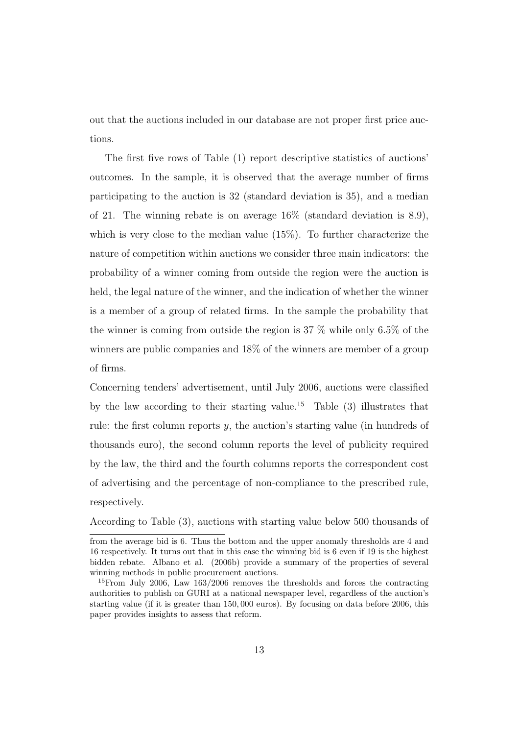out that the auctions included in our database are not proper first price auctions.

The first five rows of Table (1) report descriptive statistics of auctions' outcomes. In the sample, it is observed that the average number of firms participating to the auction is 32 (standard deviation is 35), and a median of 21. The winning rebate is on average 16% (standard deviation is 8.9), which is very close to the median value (15%). To further characterize the nature of competition within auctions we consider three main indicators: the probability of a winner coming from outside the region were the auction is held, the legal nature of the winner, and the indication of whether the winner is a member of a group of related firms. In the sample the probability that the winner is coming from outside the region is 37 % while only 6.5% of the winners are public companies and 18% of the winners are member of a group of firms.

Concerning tenders' advertisement, until July 2006, auctions were classified by the law according to their starting value.<sup>15</sup> Table  $(3)$  illustrates that rule: the first column reports  $y$ , the auction's starting value (in hundreds of thousands euro), the second column reports the level of publicity required by the law, the third and the fourth columns reports the correspondent cost of advertising and the percentage of non-compliance to the prescribed rule, respectively.

According to Table (3), auctions with starting value below 500 thousands of

from the average bid is 6. Thus the bottom and the upper anomaly thresholds are 4 and 16 respectively. It turns out that in this case the winning bid is 6 even if 19 is the highest bidden rebate. Albano et al. (2006b) provide a summary of the properties of several winning methods in public procurement auctions.

<sup>15</sup>From July 2006, Law 163/2006 removes the thresholds and forces the contracting authorities to publish on GURI at a national newspaper level, regardless of the auction's starting value (if it is greater than 150, 000 euros). By focusing on data before 2006, this paper provides insights to assess that reform.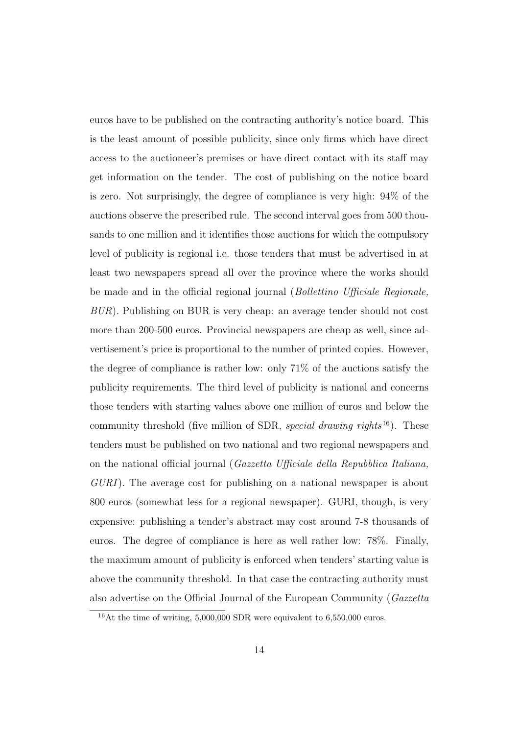euros have to be published on the contracting authority's notice board. This is the least amount of possible publicity, since only firms which have direct access to the auctioneer's premises or have direct contact with its staff may get information on the tender. The cost of publishing on the notice board is zero. Not surprisingly, the degree of compliance is very high: 94% of the auctions observe the prescribed rule. The second interval goes from 500 thousands to one million and it identifies those auctions for which the compulsory level of publicity is regional i.e. those tenders that must be advertised in at least two newspapers spread all over the province where the works should be made and in the official regional journal (Bollettino Ufficiale Regionale, BUR). Publishing on BUR is very cheap: an average tender should not cost more than 200-500 euros. Provincial newspapers are cheap as well, since advertisement's price is proportional to the number of printed copies. However, the degree of compliance is rather low: only 71% of the auctions satisfy the publicity requirements. The third level of publicity is national and concerns those tenders with starting values above one million of euros and below the community threshold (five million of SDR, special drawing rights<sup>16</sup>). These tenders must be published on two national and two regional newspapers and on the national official journal (Gazzetta Ufficiale della Repubblica Italiana, GURI). The average cost for publishing on a national newspaper is about 800 euros (somewhat less for a regional newspaper). GURI, though, is very expensive: publishing a tender's abstract may cost around 7-8 thousands of euros. The degree of compliance is here as well rather low: 78%. Finally, the maximum amount of publicity is enforced when tenders' starting value is above the community threshold. In that case the contracting authority must also advertise on the Official Journal of the European Community (Gazzetta

 $16$ At the time of writing, 5,000,000 SDR were equivalent to 6,550,000 euros.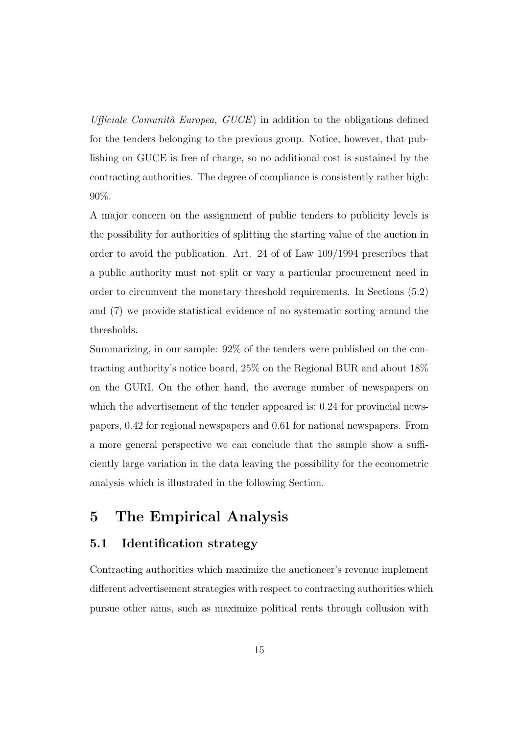Ufficiale Comunità Europea,  $GUCE$ ) in addition to the obligations defined for the tenders belonging to the previous group. Notice, however, that publishing on GUCE is free of charge, so no additional cost is sustained by the contracting authorities. The degree of compliance is consistently rather high: 90%.

A major concern on the assignment of public tenders to publicity levels is the possibility for authorities of splitting the starting value of the auction in order to avoid the publication. Art. 24 of of Law 109/1994 prescribes that a public authority must not split or vary a particular procurement need in order to circumvent the monetary threshold requirements. In Sections (5.2) and (7) we provide statistical evidence of no systematic sorting around the thresholds.

Summarizing, in our sample: 92% of the tenders were published on the contracting authority's notice board, 25% on the Regional BUR and about 18% on the GURI. On the other hand, the average number of newspapers on which the advertisement of the tender appeared is:  $0.24$  for provincial newspapers, 0.42 for regional newspapers and 0.61 for national newspapers. From a more general perspective we can conclude that the sample show a sufficiently large variation in the data leaving the possibility for the econometric analysis which is illustrated in the following Section.

## 5 The Empirical Analysis

#### 5.1 Identification strategy

Contracting authorities which maximize the auctioneer's revenue implement different advertisement strategies with respect to contracting authorities which pursue other aims, such as maximize political rents through collusion with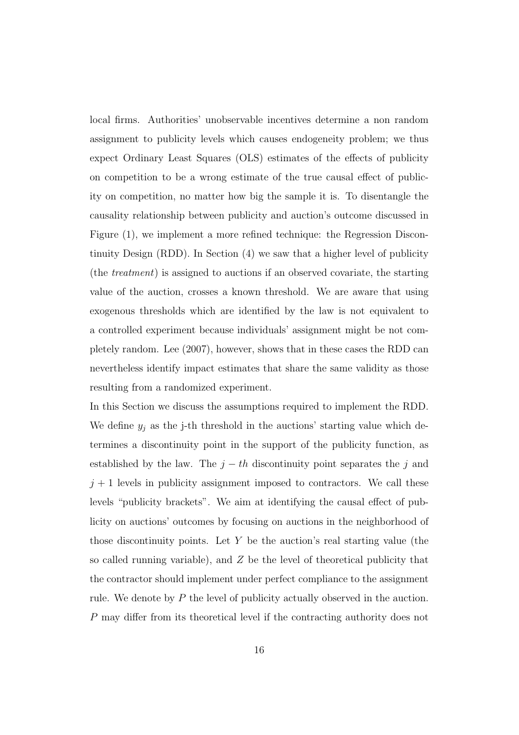local firms. Authorities' unobservable incentives determine a non random assignment to publicity levels which causes endogeneity problem; we thus expect Ordinary Least Squares (OLS) estimates of the effects of publicity on competition to be a wrong estimate of the true causal effect of publicity on competition, no matter how big the sample it is. To disentangle the causality relationship between publicity and auction's outcome discussed in Figure (1), we implement a more refined technique: the Regression Discontinuity Design (RDD). In Section (4) we saw that a higher level of publicity (the treatment) is assigned to auctions if an observed covariate, the starting value of the auction, crosses a known threshold. We are aware that using exogenous thresholds which are identified by the law is not equivalent to a controlled experiment because individuals' assignment might be not completely random. Lee (2007), however, shows that in these cases the RDD can nevertheless identify impact estimates that share the same validity as those resulting from a randomized experiment.

In this Section we discuss the assumptions required to implement the RDD. We define  $y_j$  as the j-th threshold in the auctions' starting value which determines a discontinuity point in the support of the publicity function, as established by the law. The  $j - th$  discontinuity point separates the j and  $j + 1$  levels in publicity assignment imposed to contractors. We call these levels "publicity brackets". We aim at identifying the causal effect of publicity on auctions' outcomes by focusing on auctions in the neighborhood of those discontinuity points. Let  $Y$  be the auction's real starting value (the so called running variable), and  $Z$  be the level of theoretical publicity that the contractor should implement under perfect compliance to the assignment rule. We denote by P the level of publicity actually observed in the auction. P may differ from its theoretical level if the contracting authority does not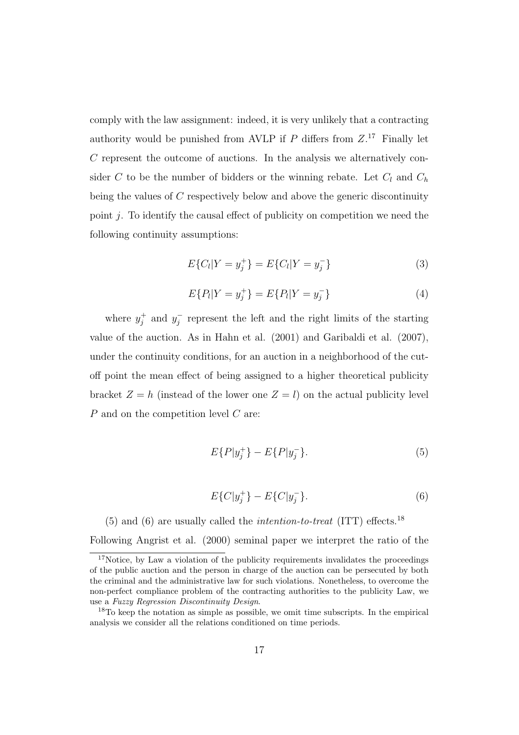comply with the law assignment: indeed, it is very unlikely that a contracting authority would be punished from AVLP if  $P$  differs from  $Z$ .<sup>17</sup> Finally let  $C$  represent the outcome of auctions. In the analysis we alternatively consider C to be the number of bidders or the winning rebate. Let  $C_l$  and  $C_h$ being the values of C respectively below and above the generic discontinuity point  $i$ . To identify the causal effect of publicity on competition we need the following continuity assumptions:

$$
E\{C_l|Y=y_j^+\}=E\{C_l|Y=y_j^-\}\tag{3}
$$

$$
E\{P_l|Y=y_j^+\}=E\{P_l|Y=y_j^-\}\tag{4}
$$

where  $y_i^+$  $j^+$  and  $y_j^ \bar{j}$  represent the left and the right limits of the starting value of the auction. As in Hahn et al. (2001) and Garibaldi et al. (2007), under the continuity conditions, for an auction in a neighborhood of the cutoff point the mean effect of being assigned to a higher theoretical publicity bracket  $Z = h$  (instead of the lower one  $Z = l$ ) on the actual publicity level P and on the competition level C are:

$$
E\{P|y_j^+\} - E\{P|y_j^-\}.\tag{5}
$$

$$
E\{C|y_j^+\} - E\{C|y_j^-\}.\tag{6}
$$

(5) and (6) are usually called the *intention-to-treat* (ITT) effects.<sup>18</sup> Following Angrist et al. (2000) seminal paper we interpret the ratio of the

<sup>&</sup>lt;sup>17</sup>Notice, by Law a violation of the publicity requirements invalidates the proceedings of the public auction and the person in charge of the auction can be persecuted by both the criminal and the administrative law for such violations. Nonetheless, to overcome the non-perfect compliance problem of the contracting authorities to the publicity Law, we use a Fuzzy Regression Discontinuity Design.

<sup>&</sup>lt;sup>18</sup>To keep the notation as simple as possible, we omit time subscripts. In the empirical analysis we consider all the relations conditioned on time periods.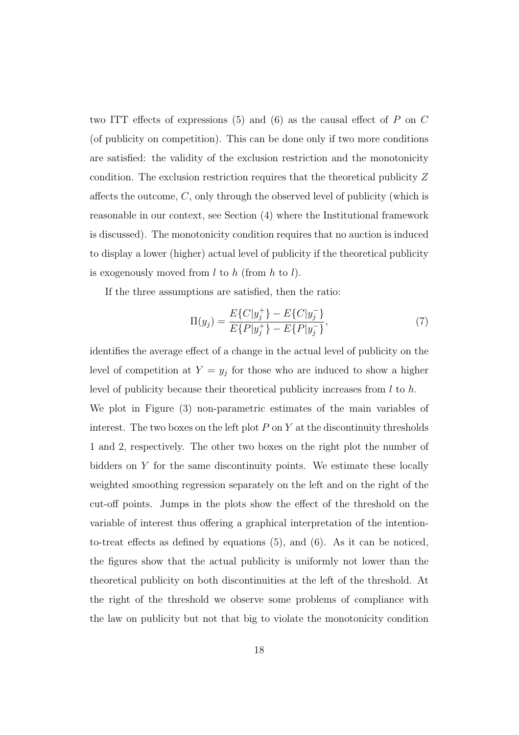two ITT effects of expressions  $(5)$  and  $(6)$  as the causal effect of P on C (of publicity on competition). This can be done only if two more conditions are satisfied: the validity of the exclusion restriction and the monotonicity condition. The exclusion restriction requires that the theoretical publicity Z affects the outcome, C, only through the observed level of publicity (which is reasonable in our context, see Section (4) where the Institutional framework is discussed). The monotonicity condition requires that no auction is induced to display a lower (higher) actual level of publicity if the theoretical publicity is exogenously moved from  $l$  to  $h$  (from  $h$  to  $l$ ).

If the three assumptions are satisfied, then the ratio:

$$
\Pi(y_j) = \frac{E\{C|y_j^+\} - E\{C|y_j^-\}}{E\{P|y_j^+\} - E\{P|y_j^-\}},\tag{7}
$$

identifies the average effect of a change in the actual level of publicity on the level of competition at  $Y = y_j$  for those who are induced to show a higher level of publicity because their theoretical publicity increases from  $l$  to  $h$ . We plot in Figure (3) non-parametric estimates of the main variables of interest. The two boxes on the left plot  $P$  on  $Y$  at the discontinuity thresholds 1 and 2, respectively. The other two boxes on the right plot the number of bidders on  $Y$  for the same discontinuity points. We estimate these locally weighted smoothing regression separately on the left and on the right of the cut-off points. Jumps in the plots show the effect of the threshold on the variable of interest thus offering a graphical interpretation of the intentionto-treat effects as defined by equations (5), and (6). As it can be noticed, the figures show that the actual publicity is uniformly not lower than the theoretical publicity on both discontinuities at the left of the threshold. At the right of the threshold we observe some problems of compliance with the law on publicity but not that big to violate the monotonicity condition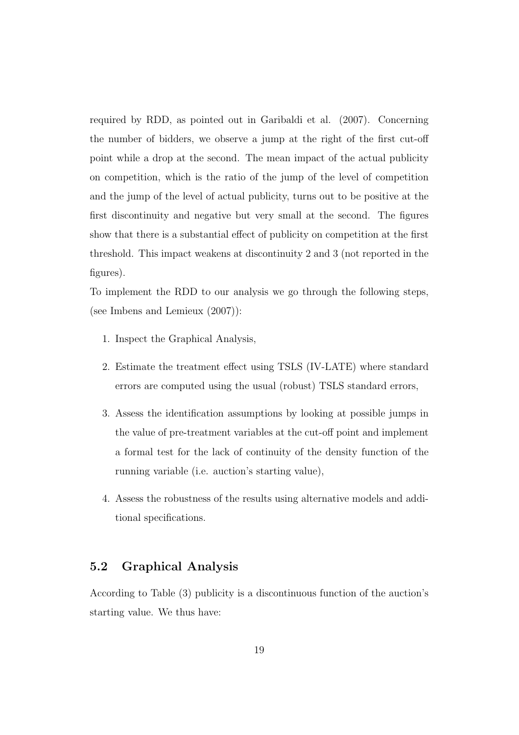required by RDD, as pointed out in Garibaldi et al. (2007). Concerning the number of bidders, we observe a jump at the right of the first cut-off point while a drop at the second. The mean impact of the actual publicity on competition, which is the ratio of the jump of the level of competition and the jump of the level of actual publicity, turns out to be positive at the first discontinuity and negative but very small at the second. The figures show that there is a substantial effect of publicity on competition at the first threshold. This impact weakens at discontinuity 2 and 3 (not reported in the figures).

To implement the RDD to our analysis we go through the following steps, (see Imbens and Lemieux (2007)):

- 1. Inspect the Graphical Analysis,
- 2. Estimate the treatment effect using TSLS (IV-LATE) where standard errors are computed using the usual (robust) TSLS standard errors,
- 3. Assess the identification assumptions by looking at possible jumps in the value of pre-treatment variables at the cut-off point and implement a formal test for the lack of continuity of the density function of the running variable (i.e. auction's starting value),
- 4. Assess the robustness of the results using alternative models and additional specifications.

#### 5.2 Graphical Analysis

According to Table (3) publicity is a discontinuous function of the auction's starting value. We thus have: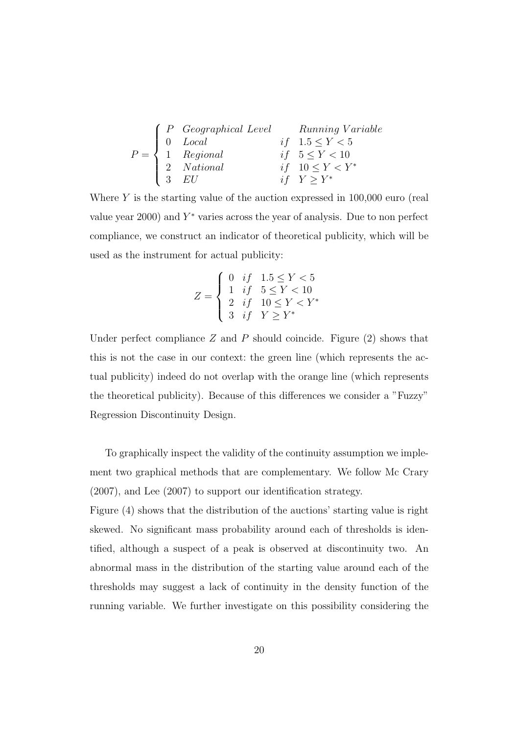|  | $P = \left\{ \begin{array}{ll} P \hspace{4mm} \textit{Geographical Level} & \textit{Running Variable} \\ 0 \hspace{4mm} \textit{Local} & \textit{if} \hspace{4mm} 1.5 \leq Y < 5 \\ 1 \hspace{4mm} \textit{Regional} & \textit{if} \hspace{4mm} 5 \leq Y < 10 \\ 2 \hspace{4mm} \textit{National} & \textit{if} \hspace{4mm} 10 \leq Y < Y^* \\ 3 \hspace{4mm} \textit{EU} & \textit{if} \hspace{4mm} Y \geq Y^* \end{array} \right.$ |  |
|--|---------------------------------------------------------------------------------------------------------------------------------------------------------------------------------------------------------------------------------------------------------------------------------------------------------------------------------------------------------------------------------------------------------------------------------------|--|
|  |                                                                                                                                                                                                                                                                                                                                                                                                                                       |  |
|  |                                                                                                                                                                                                                                                                                                                                                                                                                                       |  |

Where  $Y$  is the starting value of the auction expressed in  $100,000$  euro (real value year  $2000$ ) and  $Y^*$  varies across the year of analysis. Due to non perfect compliance, we construct an indicator of theoretical publicity, which will be used as the instrument for actual publicity:

$$
Z = \begin{cases} 0 & if & 1.5 \le Y < 5 \\ 1 & if & 5 \le Y < 10 \\ 2 & if & 10 \le Y < Y^* \\ 3 & if & Y \ge Y^* \end{cases}
$$

Under perfect compliance  $Z$  and  $P$  should coincide. Figure  $(2)$  shows that this is not the case in our context: the green line (which represents the actual publicity) indeed do not overlap with the orange line (which represents the theoretical publicity). Because of this differences we consider a "Fuzzy" Regression Discontinuity Design.

To graphically inspect the validity of the continuity assumption we implement two graphical methods that are complementary. We follow Mc Crary (2007), and Lee (2007) to support our identification strategy.

Figure (4) shows that the distribution of the auctions' starting value is right skewed. No significant mass probability around each of thresholds is identified, although a suspect of a peak is observed at discontinuity two. An abnormal mass in the distribution of the starting value around each of the thresholds may suggest a lack of continuity in the density function of the running variable. We further investigate on this possibility considering the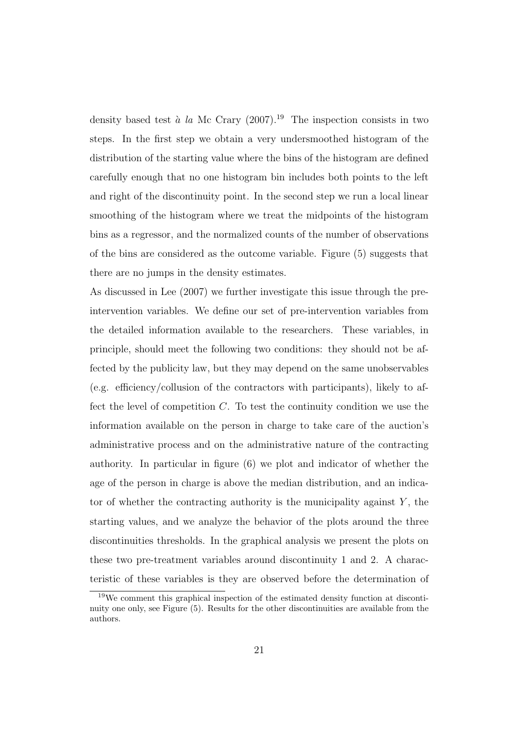density based test à la Mc Crary  $(2007)$ .<sup>19</sup> The inspection consists in two steps. In the first step we obtain a very undersmoothed histogram of the distribution of the starting value where the bins of the histogram are defined carefully enough that no one histogram bin includes both points to the left and right of the discontinuity point. In the second step we run a local linear smoothing of the histogram where we treat the midpoints of the histogram bins as a regressor, and the normalized counts of the number of observations of the bins are considered as the outcome variable. Figure (5) suggests that there are no jumps in the density estimates.

As discussed in Lee (2007) we further investigate this issue through the preintervention variables. We define our set of pre-intervention variables from the detailed information available to the researchers. These variables, in principle, should meet the following two conditions: they should not be affected by the publicity law, but they may depend on the same unobservables (e.g. efficiency/collusion of the contractors with participants), likely to affect the level of competition  $C$ . To test the continuity condition we use the information available on the person in charge to take care of the auction's administrative process and on the administrative nature of the contracting authority. In particular in figure (6) we plot and indicator of whether the age of the person in charge is above the median distribution, and an indicator of whether the contracting authority is the municipality against  $Y$ , the starting values, and we analyze the behavior of the plots around the three discontinuities thresholds. In the graphical analysis we present the plots on these two pre-treatment variables around discontinuity 1 and 2. A characteristic of these variables is they are observed before the determination of

<sup>19</sup>We comment this graphical inspection of the estimated density function at discontinuity one only, see Figure (5). Results for the other discontinuities are available from the authors.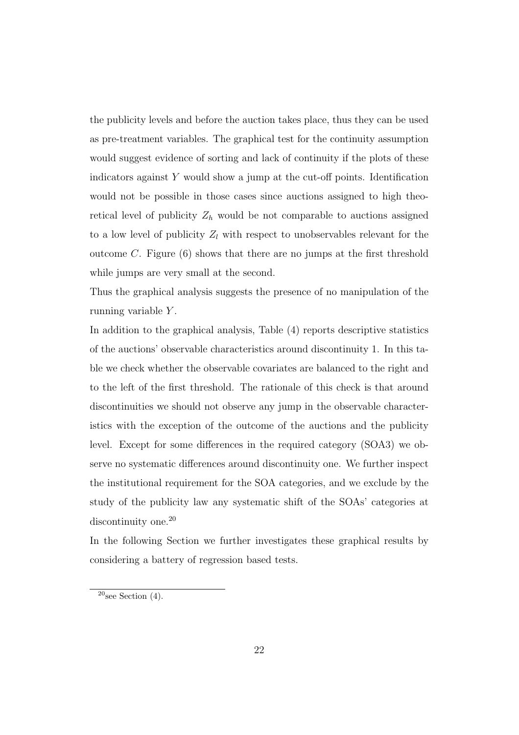the publicity levels and before the auction takes place, thus they can be used as pre-treatment variables. The graphical test for the continuity assumption would suggest evidence of sorting and lack of continuity if the plots of these indicators against  $Y$  would show a jump at the cut-off points. Identification would not be possible in those cases since auctions assigned to high theoretical level of publicity  $Z_h$  would be not comparable to auctions assigned to a low level of publicity  $Z_l$  with respect to unobservables relevant for the outcome C. Figure  $(6)$  shows that there are no jumps at the first threshold while jumps are very small at the second.

Thus the graphical analysis suggests the presence of no manipulation of the running variable Y.

In addition to the graphical analysis, Table (4) reports descriptive statistics of the auctions' observable characteristics around discontinuity 1. In this table we check whether the observable covariates are balanced to the right and to the left of the first threshold. The rationale of this check is that around discontinuities we should not observe any jump in the observable characteristics with the exception of the outcome of the auctions and the publicity level. Except for some differences in the required category (SOA3) we observe no systematic differences around discontinuity one. We further inspect the institutional requirement for the SOA categories, and we exclude by the study of the publicity law any systematic shift of the SOAs' categories at discontinuity one.<sup>20</sup>

In the following Section we further investigates these graphical results by considering a battery of regression based tests.

 $20$ see Section (4).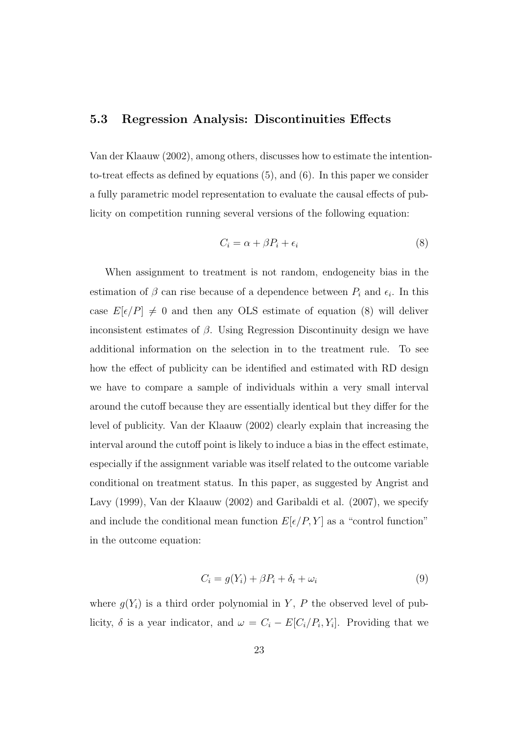#### 5.3 Regression Analysis: Discontinuities Effects

Van der Klaauw (2002), among others, discusses how to estimate the intentionto-treat effects as defined by equations (5), and (6). In this paper we consider a fully parametric model representation to evaluate the causal effects of publicity on competition running several versions of the following equation:

$$
C_i = \alpha + \beta P_i + \epsilon_i \tag{8}
$$

When assignment to treatment is not random, endogeneity bias in the estimation of  $\beta$  can rise because of a dependence between  $P_i$  and  $\epsilon_i$ . In this case  $E[\epsilon/P] \neq 0$  and then any OLS estimate of equation (8) will deliver inconsistent estimates of  $\beta$ . Using Regression Discontinuity design we have additional information on the selection in to the treatment rule. To see how the effect of publicity can be identified and estimated with RD design we have to compare a sample of individuals within a very small interval around the cutoff because they are essentially identical but they differ for the level of publicity. Van der Klaauw (2002) clearly explain that increasing the interval around the cutoff point is likely to induce a bias in the effect estimate, especially if the assignment variable was itself related to the outcome variable conditional on treatment status. In this paper, as suggested by Angrist and Lavy (1999), Van der Klaauw (2002) and Garibaldi et al. (2007), we specify and include the conditional mean function  $E[\epsilon/P, Y]$  as a "control function" in the outcome equation:

$$
C_i = g(Y_i) + \beta P_i + \delta_t + \omega_i \tag{9}
$$

where  $g(Y_i)$  is a third order polynomial in Y, P the observed level of publicity,  $\delta$  is a year indicator, and  $\omega = C_i - E[C_i/P_i, Y_i]$ . Providing that we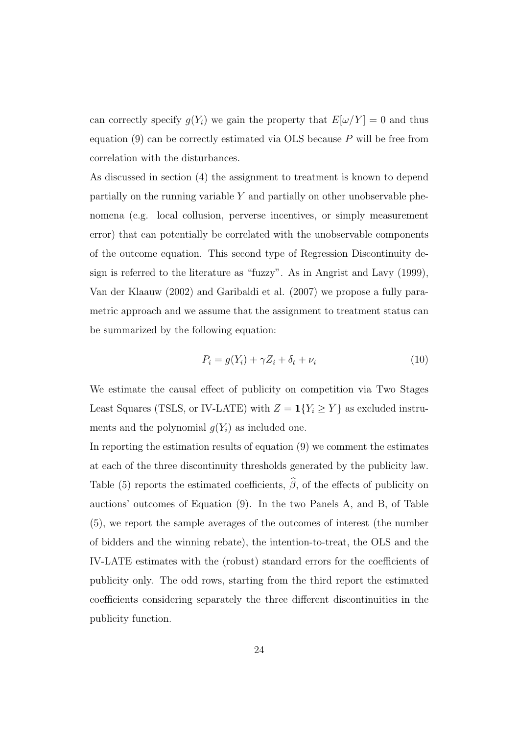can correctly specify  $g(Y_i)$  we gain the property that  $E[\omega/Y] = 0$  and thus equation  $(9)$  can be correctly estimated via OLS because P will be free from correlation with the disturbances.

As discussed in section (4) the assignment to treatment is known to depend partially on the running variable Y and partially on other unobservable phenomena (e.g. local collusion, perverse incentives, or simply measurement error) that can potentially be correlated with the unobservable components of the outcome equation. This second type of Regression Discontinuity design is referred to the literature as "fuzzy". As in Angrist and Lavy (1999), Van der Klaauw (2002) and Garibaldi et al. (2007) we propose a fully parametric approach and we assume that the assignment to treatment status can be summarized by the following equation:

$$
P_i = g(Y_i) + \gamma Z_i + \delta_t + \nu_i \tag{10}
$$

We estimate the causal effect of publicity on competition via Two Stages Least Squares (TSLS, or IV-LATE) with  $Z = \mathbf{1}\{Y_i \geq \overline{Y}\}\)$  as excluded instruments and the polynomial  $q(Y_i)$  as included one.

In reporting the estimation results of equation (9) we comment the estimates at each of the three discontinuity thresholds generated by the publicity law. Table (5) reports the estimated coefficients,  $\widehat{\beta}$ , of the effects of publicity on auctions' outcomes of Equation (9). In the two Panels A, and B, of Table (5), we report the sample averages of the outcomes of interest (the number of bidders and the winning rebate), the intention-to-treat, the OLS and the IV-LATE estimates with the (robust) standard errors for the coefficients of publicity only. The odd rows, starting from the third report the estimated coefficients considering separately the three different discontinuities in the publicity function.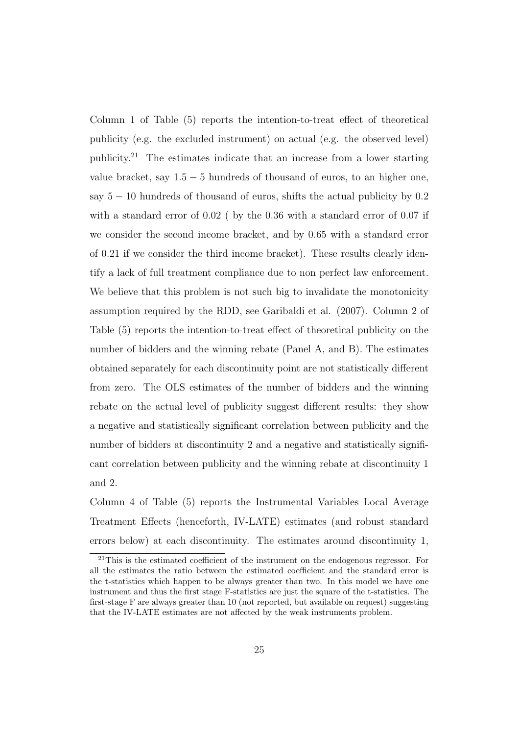Column 1 of Table (5) reports the intention-to-treat effect of theoretical publicity (e.g. the excluded instrument) on actual (e.g. the observed level) publicity.<sup>21</sup> The estimates indicate that an increase from a lower starting value bracket, say  $1.5 - 5$  hundreds of thousand of euros, to an higher one, say  $5 - 10$  hundreds of thousand of euros, shifts the actual publicity by  $0.2$ with a standard error of  $0.02$  ( by the 0.36 with a standard error of 0.07 if we consider the second income bracket, and by 0.65 with a standard error of 0.21 if we consider the third income bracket). These results clearly identify a lack of full treatment compliance due to non perfect law enforcement. We believe that this problem is not such big to invalidate the monotonicity assumption required by the RDD, see Garibaldi et al. (2007). Column 2 of Table (5) reports the intention-to-treat effect of theoretical publicity on the number of bidders and the winning rebate (Panel A, and B). The estimates obtained separately for each discontinuity point are not statistically different from zero. The OLS estimates of the number of bidders and the winning rebate on the actual level of publicity suggest different results: they show a negative and statistically significant correlation between publicity and the number of bidders at discontinuity 2 and a negative and statistically significant correlation between publicity and the winning rebate at discontinuity 1 and 2.

Column 4 of Table (5) reports the Instrumental Variables Local Average Treatment Effects (henceforth, IV-LATE) estimates (and robust standard errors below) at each discontinuity. The estimates around discontinuity 1,

<sup>&</sup>lt;sup>21</sup>This is the estimated coefficient of the instrument on the endogenous regressor. For all the estimates the ratio between the estimated coefficient and the standard error is the t-statistics which happen to be always greater than two. In this model we have one instrument and thus the first stage F-statistics are just the square of the t-statistics. The first-stage F are always greater than 10 (not reported, but available on request) suggesting that the IV-LATE estimates are not affected by the weak instruments problem.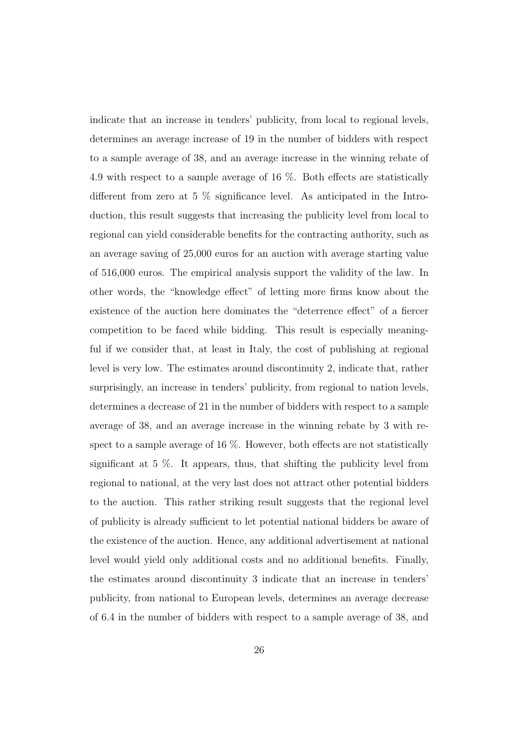indicate that an increase in tenders' publicity, from local to regional levels, determines an average increase of 19 in the number of bidders with respect to a sample average of 38, and an average increase in the winning rebate of 4.9 with respect to a sample average of 16 %. Both effects are statistically different from zero at 5 % significance level. As anticipated in the Introduction, this result suggests that increasing the publicity level from local to regional can yield considerable benefits for the contracting authority, such as an average saving of 25,000 euros for an auction with average starting value of 516,000 euros. The empirical analysis support the validity of the law. In other words, the "knowledge effect" of letting more firms know about the existence of the auction here dominates the "deterrence effect" of a fiercer competition to be faced while bidding. This result is especially meaningful if we consider that, at least in Italy, the cost of publishing at regional level is very low. The estimates around discontinuity 2, indicate that, rather surprisingly, an increase in tenders' publicity, from regional to nation levels, determines a decrease of 21 in the number of bidders with respect to a sample average of 38, and an average increase in the winning rebate by 3 with respect to a sample average of 16 %. However, both effects are not statistically significant at 5 %. It appears, thus, that shifting the publicity level from regional to national, at the very last does not attract other potential bidders to the auction. This rather striking result suggests that the regional level of publicity is already sufficient to let potential national bidders be aware of the existence of the auction. Hence, any additional advertisement at national level would yield only additional costs and no additional benefits. Finally, the estimates around discontinuity 3 indicate that an increase in tenders' publicity, from national to European levels, determines an average decrease of 6.4 in the number of bidders with respect to a sample average of 38, and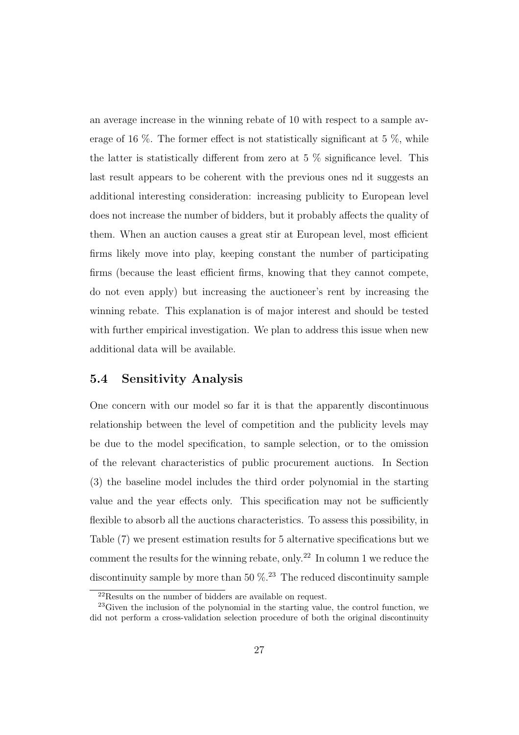an average increase in the winning rebate of 10 with respect to a sample average of 16 %. The former effect is not statistically significant at 5 %, while the latter is statistically different from zero at 5  $\%$  significance level. This last result appears to be coherent with the previous ones nd it suggests an additional interesting consideration: increasing publicity to European level does not increase the number of bidders, but it probably affects the quality of them. When an auction causes a great stir at European level, most efficient firms likely move into play, keeping constant the number of participating firms (because the least efficient firms, knowing that they cannot compete, do not even apply) but increasing the auctioneer's rent by increasing the winning rebate. This explanation is of major interest and should be tested with further empirical investigation. We plan to address this issue when new additional data will be available.

#### 5.4 Sensitivity Analysis

One concern with our model so far it is that the apparently discontinuous relationship between the level of competition and the publicity levels may be due to the model specification, to sample selection, or to the omission of the relevant characteristics of public procurement auctions. In Section (3) the baseline model includes the third order polynomial in the starting value and the year effects only. This specification may not be sufficiently flexible to absorb all the auctions characteristics. To assess this possibility, in Table (7) we present estimation results for 5 alternative specifications but we comment the results for the winning rebate, only.<sup>22</sup> In column 1 we reduce the discontinuity sample by more than 50  $\%$ .<sup>23</sup> The reduced discontinuity sample

<sup>22</sup>Results on the number of bidders are available on request.

<sup>23</sup>Given the inclusion of the polynomial in the starting value, the control function, we did not perform a cross-validation selection procedure of both the original discontinuity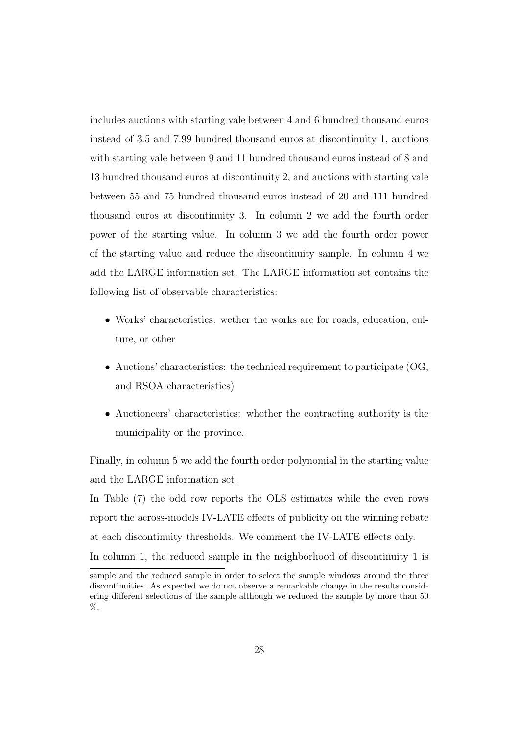includes auctions with starting vale between 4 and 6 hundred thousand euros instead of 3.5 and 7.99 hundred thousand euros at discontinuity 1, auctions with starting vale between 9 and 11 hundred thousand euros instead of 8 and 13 hundred thousand euros at discontinuity 2, and auctions with starting vale between 55 and 75 hundred thousand euros instead of 20 and 111 hundred thousand euros at discontinuity 3. In column 2 we add the fourth order power of the starting value. In column 3 we add the fourth order power of the starting value and reduce the discontinuity sample. In column 4 we add the LARGE information set. The LARGE information set contains the following list of observable characteristics:

- Works' characteristics: wether the works are for roads, education, culture, or other
- Auctions' characteristics: the technical requirement to participate (OG, and RSOA characteristics)
- Auctioneers' characteristics: whether the contracting authority is the municipality or the province.

Finally, in column 5 we add the fourth order polynomial in the starting value and the LARGE information set.

In Table (7) the odd row reports the OLS estimates while the even rows report the across-models IV-LATE effects of publicity on the winning rebate at each discontinuity thresholds. We comment the IV-LATE effects only. In column 1, the reduced sample in the neighborhood of discontinuity 1 is

sample and the reduced sample in order to select the sample windows around the three discontinuities. As expected we do not observe a remarkable change in the results considering different selections of the sample although we reduced the sample by more than 50 %.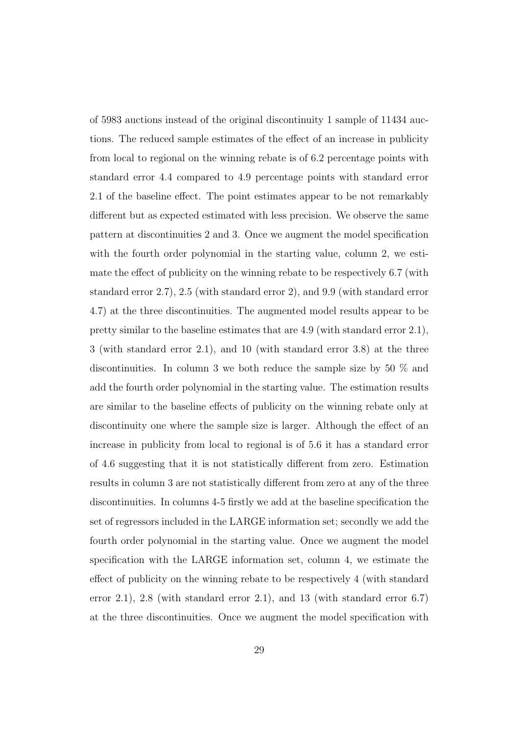of 5983 auctions instead of the original discontinuity 1 sample of 11434 auctions. The reduced sample estimates of the effect of an increase in publicity from local to regional on the winning rebate is of 6.2 percentage points with standard error 4.4 compared to 4.9 percentage points with standard error 2.1 of the baseline effect. The point estimates appear to be not remarkably different but as expected estimated with less precision. We observe the same pattern at discontinuities 2 and 3. Once we augment the model specification with the fourth order polynomial in the starting value, column 2, we estimate the effect of publicity on the winning rebate to be respectively 6.7 (with standard error 2.7), 2.5 (with standard error 2), and 9.9 (with standard error 4.7) at the three discontinuities. The augmented model results appear to be pretty similar to the baseline estimates that are 4.9 (with standard error 2.1), 3 (with standard error 2.1), and 10 (with standard error 3.8) at the three discontinuities. In column 3 we both reduce the sample size by 50 % and add the fourth order polynomial in the starting value. The estimation results are similar to the baseline effects of publicity on the winning rebate only at discontinuity one where the sample size is larger. Although the effect of an increase in publicity from local to regional is of 5.6 it has a standard error of 4.6 suggesting that it is not statistically different from zero. Estimation results in column 3 are not statistically different from zero at any of the three discontinuities. In columns 4-5 firstly we add at the baseline specification the set of regressors included in the LARGE information set; secondly we add the fourth order polynomial in the starting value. Once we augment the model specification with the LARGE information set, column 4, we estimate the effect of publicity on the winning rebate to be respectively 4 (with standard error 2.1), 2.8 (with standard error 2.1), and 13 (with standard error 6.7) at the three discontinuities. Once we augment the model specification with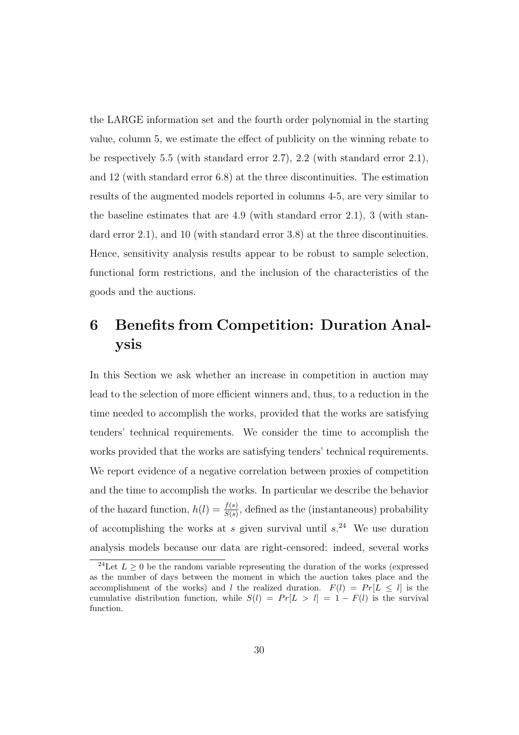the LARGE information set and the fourth order polynomial in the starting value, column 5, we estimate the effect of publicity on the winning rebate to be respectively 5.5 (with standard error 2.7),  $2.2$  (with standard error 2.1), and 12 (with standard error 6.8) at the three discontinuities. The estimation results of the augmented models reported in columns 4-5, are very similar to the baseline estimates that are 4.9 (with standard error 2.1), 3 (with standard error 2.1), and 10 (with standard error 3.8) at the three discontinuities. Hence, sensitivity analysis results appear to be robust to sample selection, functional form restrictions, and the inclusion of the characteristics of the goods and the auctions.

## 6 Benefits from Competition: Duration Analysis

In this Section we ask whether an increase in competition in auction may lead to the selection of more efficient winners and, thus, to a reduction in the time needed to accomplish the works, provided that the works are satisfying tenders' technical requirements. We consider the time to accomplish the works provided that the works are satisfying tenders' technical requirements. We report evidence of a negative correlation between proxies of competition and the time to accomplish the works. In particular we describe the behavior of the hazard function,  $h(l) = \frac{f(s)}{S(s)}$ , defined as the (instantaneous) probability of accomplishing the works at s given survival until  $s^{24}$ . We use duration analysis models because our data are right-censored: indeed, several works

<sup>&</sup>lt;sup>24</sup>Let  $L \geq 0$  be the random variable representing the duration of the works (expressed as the number of days between the moment in which the auction takes place and the accomplishment of the works) and l the realized duration.  $F(l) = Pr[L \leq l]$  is the cumulative distribution function, while  $S(l) = Pr[L > l] = 1 - F(l)$  is the survival function.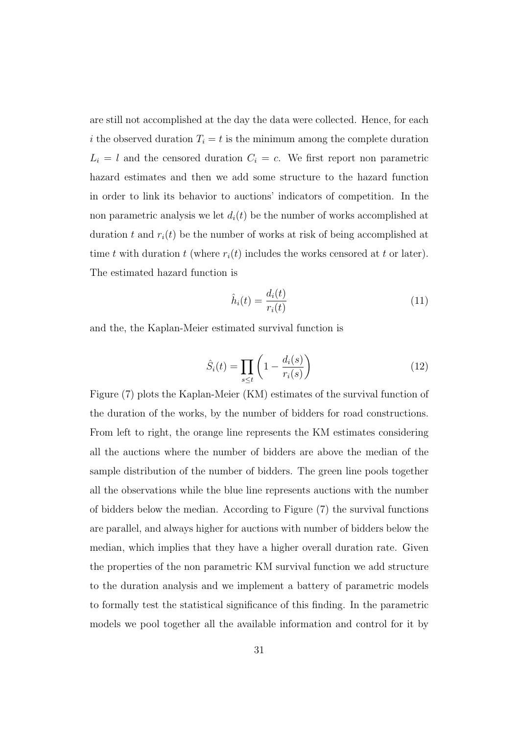are still not accomplished at the day the data were collected. Hence, for each i the observed duration  $T_i = t$  is the minimum among the complete duration  $L_i = l$  and the censored duration  $C_i = c$ . We first report non parametric hazard estimates and then we add some structure to the hazard function in order to link its behavior to auctions' indicators of competition. In the non parametric analysis we let  $d_i(t)$  be the number of works accomplished at duration t and  $r_i(t)$  be the number of works at risk of being accomplished at time t with duration t (where  $r_i(t)$  includes the works censored at t or later). The estimated hazard function is

$$
\hat{h}_i(t) = \frac{d_i(t)}{r_i(t)}\tag{11}
$$

and the, the Kaplan-Meier estimated survival function is

$$
\hat{S}_i(t) = \prod_{s \le t} \left( 1 - \frac{d_i(s)}{r_i(s)} \right) \tag{12}
$$

Figure (7) plots the Kaplan-Meier (KM) estimates of the survival function of the duration of the works, by the number of bidders for road constructions. From left to right, the orange line represents the KM estimates considering all the auctions where the number of bidders are above the median of the sample distribution of the number of bidders. The green line pools together all the observations while the blue line represents auctions with the number of bidders below the median. According to Figure (7) the survival functions are parallel, and always higher for auctions with number of bidders below the median, which implies that they have a higher overall duration rate. Given the properties of the non parametric KM survival function we add structure to the duration analysis and we implement a battery of parametric models to formally test the statistical significance of this finding. In the parametric models we pool together all the available information and control for it by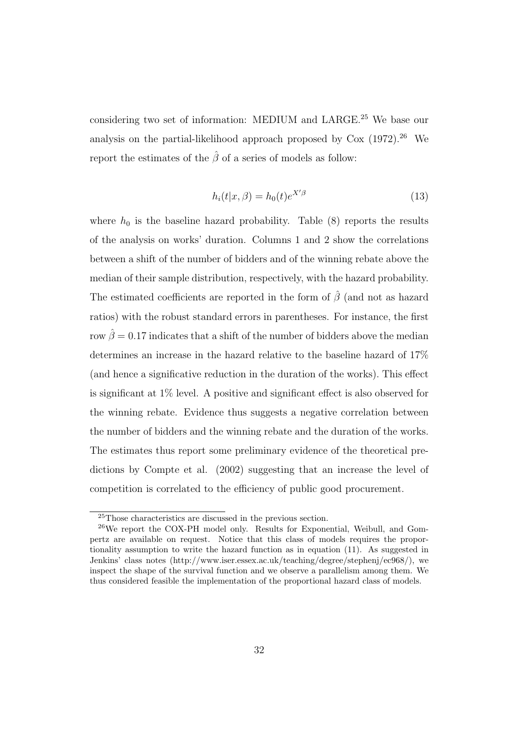considering two set of information: MEDIUM and LARGE.<sup>25</sup> We base our analysis on the partial-likelihood approach proposed by  $\text{Cox } (1972).^{26}$  We report the estimates of the  $\hat{\beta}$  of a series of models as follow:

$$
h_i(t|x,\beta) = h_0(t)e^{X'\beta} \tag{13}
$$

where  $h_0$  is the baseline hazard probability. Table (8) reports the results of the analysis on works' duration. Columns 1 and 2 show the correlations between a shift of the number of bidders and of the winning rebate above the median of their sample distribution, respectively, with the hazard probability. The estimated coefficients are reported in the form of  $\hat{\beta}$  (and not as hazard ratios) with the robust standard errors in parentheses. For instance, the first row  $\hat{\beta} = 0.17$  indicates that a shift of the number of bidders above the median determines an increase in the hazard relative to the baseline hazard of 17% (and hence a significative reduction in the duration of the works). This effect is significant at 1% level. A positive and significant effect is also observed for the winning rebate. Evidence thus suggests a negative correlation between the number of bidders and the winning rebate and the duration of the works. The estimates thus report some preliminary evidence of the theoretical predictions by Compte et al. (2002) suggesting that an increase the level of competition is correlated to the efficiency of public good procurement.

<sup>25</sup>Those characteristics are discussed in the previous section.

<sup>26</sup>We report the COX-PH model only. Results for Exponential, Weibull, and Gompertz are available on request. Notice that this class of models requires the proportionality assumption to write the hazard function as in equation (11). As suggested in Jenkins' class notes (http://www.iser.essex.ac.uk/teaching/degree/stephenj/ec968/), we inspect the shape of the survival function and we observe a parallelism among them. We thus considered feasible the implementation of the proportional hazard class of models.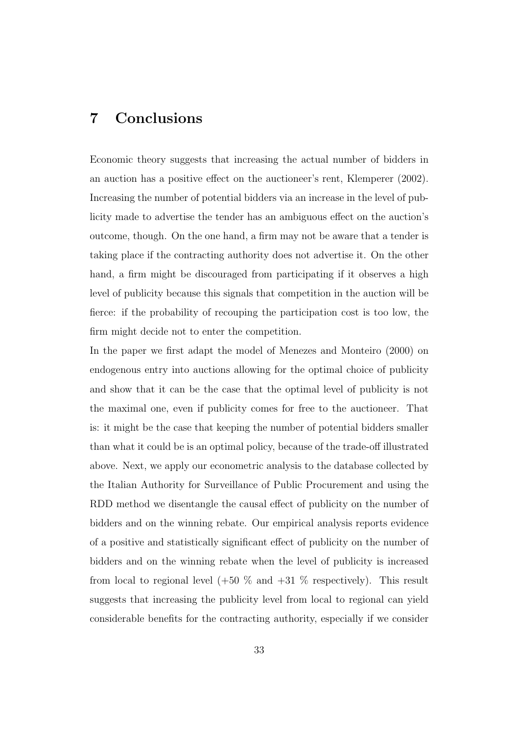## 7 Conclusions

Economic theory suggests that increasing the actual number of bidders in an auction has a positive effect on the auctioneer's rent, Klemperer (2002). Increasing the number of potential bidders via an increase in the level of publicity made to advertise the tender has an ambiguous effect on the auction's outcome, though. On the one hand, a firm may not be aware that a tender is taking place if the contracting authority does not advertise it. On the other hand, a firm might be discouraged from participating if it observes a high level of publicity because this signals that competition in the auction will be fierce: if the probability of recouping the participation cost is too low, the firm might decide not to enter the competition.

In the paper we first adapt the model of Menezes and Monteiro (2000) on endogenous entry into auctions allowing for the optimal choice of publicity and show that it can be the case that the optimal level of publicity is not the maximal one, even if publicity comes for free to the auctioneer. That is: it might be the case that keeping the number of potential bidders smaller than what it could be is an optimal policy, because of the trade-off illustrated above. Next, we apply our econometric analysis to the database collected by the Italian Authority for Surveillance of Public Procurement and using the RDD method we disentangle the causal effect of publicity on the number of bidders and on the winning rebate. Our empirical analysis reports evidence of a positive and statistically significant effect of publicity on the number of bidders and on the winning rebate when the level of publicity is increased from local to regional level  $(+50\%$  and  $+31\%$  respectively). This result suggests that increasing the publicity level from local to regional can yield considerable benefits for the contracting authority, especially if we consider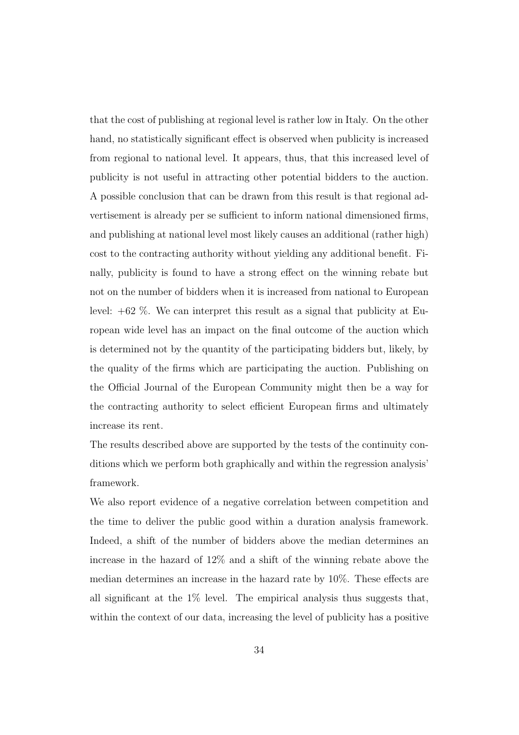that the cost of publishing at regional level is rather low in Italy. On the other hand, no statistically significant effect is observed when publicity is increased from regional to national level. It appears, thus, that this increased level of publicity is not useful in attracting other potential bidders to the auction. A possible conclusion that can be drawn from this result is that regional advertisement is already per se sufficient to inform national dimensioned firms, and publishing at national level most likely causes an additional (rather high) cost to the contracting authority without yielding any additional benefit. Finally, publicity is found to have a strong effect on the winning rebate but not on the number of bidders when it is increased from national to European level: +62 %. We can interpret this result as a signal that publicity at European wide level has an impact on the final outcome of the auction which is determined not by the quantity of the participating bidders but, likely, by the quality of the firms which are participating the auction. Publishing on the Official Journal of the European Community might then be a way for the contracting authority to select efficient European firms and ultimately increase its rent.

The results described above are supported by the tests of the continuity conditions which we perform both graphically and within the regression analysis' framework.

We also report evidence of a negative correlation between competition and the time to deliver the public good within a duration analysis framework. Indeed, a shift of the number of bidders above the median determines an increase in the hazard of 12% and a shift of the winning rebate above the median determines an increase in the hazard rate by 10%. These effects are all significant at the  $1\%$  level. The empirical analysis thus suggests that, within the context of our data, increasing the level of publicity has a positive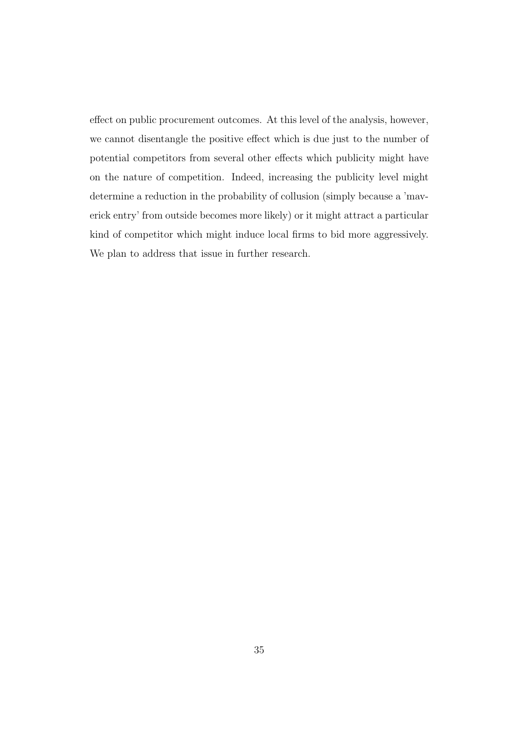effect on public procurement outcomes. At this level of the analysis, however, we cannot disentangle the positive effect which is due just to the number of potential competitors from several other effects which publicity might have on the nature of competition. Indeed, increasing the publicity level might determine a reduction in the probability of collusion (simply because a 'maverick entry' from outside becomes more likely) or it might attract a particular kind of competitor which might induce local firms to bid more aggressively. We plan to address that issue in further research.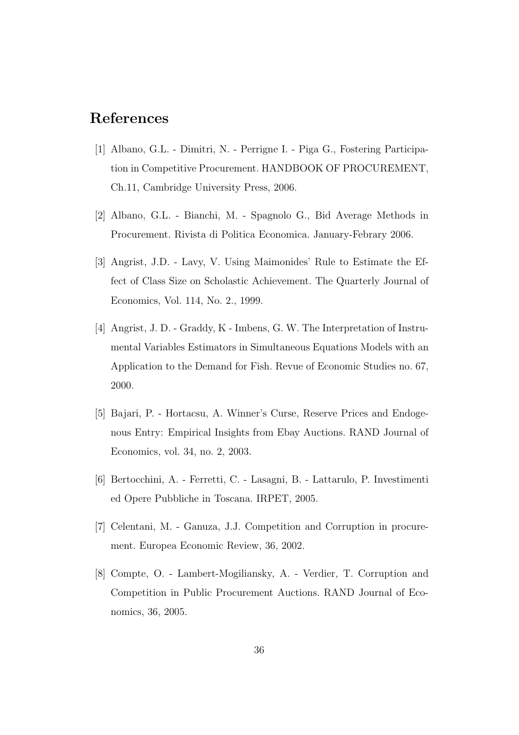## References

- [1] Albano, G.L. Dimitri, N. Perrigne I. Piga G., Fostering Participation in Competitive Procurement. HANDBOOK OF PROCUREMENT, Ch.11, Cambridge University Press, 2006.
- [2] Albano, G.L. Bianchi, M. Spagnolo G., Bid Average Methods in Procurement. Rivista di Politica Economica. January-Febrary 2006.
- [3] Angrist, J.D. Lavy, V. Using Maimonides' Rule to Estimate the Effect of Class Size on Scholastic Achievement. The Quarterly Journal of Economics, Vol. 114, No. 2., 1999.
- [4] Angrist, J. D. Graddy, K Imbens, G. W. The Interpretation of Instrumental Variables Estimators in Simultaneous Equations Models with an Application to the Demand for Fish. Revue of Economic Studies no. 67, 2000.
- [5] Bajari, P. Hortacsu, A. Winner's Curse, Reserve Prices and Endogenous Entry: Empirical Insights from Ebay Auctions. RAND Journal of Economics, vol. 34, no. 2, 2003.
- [6] Bertocchini, A. Ferretti, C. Lasagni, B. Lattarulo, P. Investimenti ed Opere Pubbliche in Toscana. IRPET, 2005.
- [7] Celentani, M. Ganuza, J.J. Competition and Corruption in procurement. Europea Economic Review, 36, 2002.
- [8] Compte, O. Lambert-Mogiliansky, A. Verdier, T. Corruption and Competition in Public Procurement Auctions. RAND Journal of Economics, 36, 2005.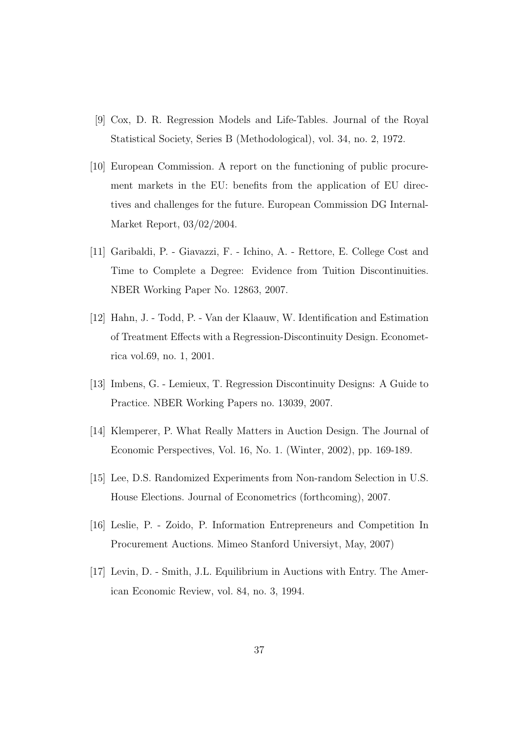- [9] Cox, D. R. Regression Models and Life-Tables. Journal of the Royal Statistical Society, Series B (Methodological), vol. 34, no. 2, 1972.
- [10] European Commission. A report on the functioning of public procurement markets in the EU: benefits from the application of EU directives and challenges for the future. European Commission DG Internal-Market Report, 03/02/2004.
- [11] Garibaldi, P. Giavazzi, F. Ichino, A. Rettore, E. College Cost and Time to Complete a Degree: Evidence from Tuition Discontinuities. NBER Working Paper No. 12863, 2007.
- [12] Hahn, J. Todd, P. Van der Klaauw, W. Identification and Estimation of Treatment Effects with a Regression-Discontinuity Design. Econometrica vol.69, no. 1, 2001.
- [13] Imbens, G. Lemieux, T. Regression Discontinuity Designs: A Guide to Practice. NBER Working Papers no. 13039, 2007.
- [14] Klemperer, P. What Really Matters in Auction Design. The Journal of Economic Perspectives, Vol. 16, No. 1. (Winter, 2002), pp. 169-189.
- [15] Lee, D.S. Randomized Experiments from Non-random Selection in U.S. House Elections. Journal of Econometrics (forthcoming), 2007.
- [16] Leslie, P. Zoido, P. Information Entrepreneurs and Competition In Procurement Auctions. Mimeo Stanford Universiyt, May, 2007)
- [17] Levin, D. Smith, J.L. Equilibrium in Auctions with Entry. The American Economic Review, vol. 84, no. 3, 1994.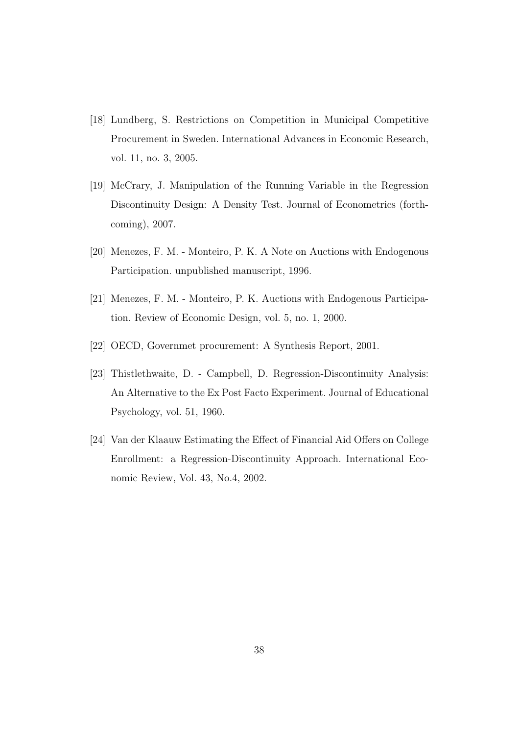- [18] Lundberg, S. Restrictions on Competition in Municipal Competitive Procurement in Sweden. International Advances in Economic Research, vol. 11, no. 3, 2005.
- [19] McCrary, J. Manipulation of the Running Variable in the Regression Discontinuity Design: A Density Test. Journal of Econometrics (forthcoming), 2007.
- [20] Menezes, F. M. Monteiro, P. K. A Note on Auctions with Endogenous Participation. unpublished manuscript, 1996.
- [21] Menezes, F. M. Monteiro, P. K. Auctions with Endogenous Participation. Review of Economic Design, vol. 5, no. 1, 2000.
- [22] OECD, Governmet procurement: A Synthesis Report, 2001.
- [23] Thistlethwaite, D. Campbell, D. Regression-Discontinuity Analysis: An Alternative to the Ex Post Facto Experiment. Journal of Educational Psychology, vol. 51, 1960.
- [24] Van der Klaauw Estimating the Effect of Financial Aid Offers on College Enrollment: a Regression-Discontinuity Approach. International Economic Review, Vol. 43, No.4, 2002.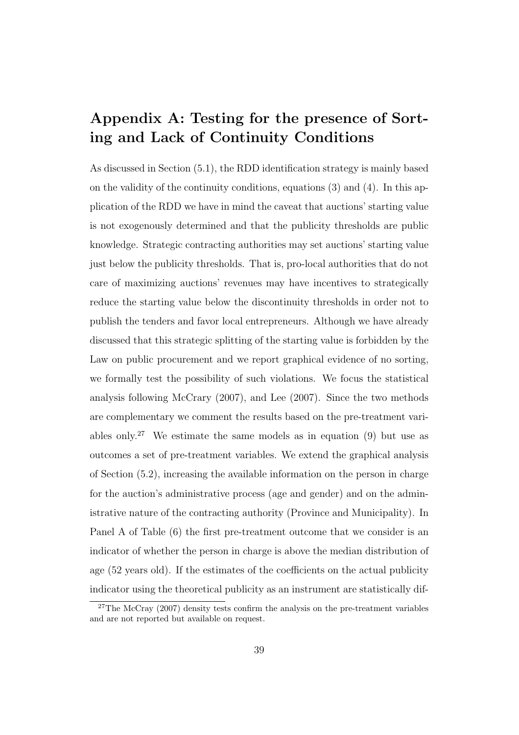## Appendix A: Testing for the presence of Sorting and Lack of Continuity Conditions

As discussed in Section (5.1), the RDD identification strategy is mainly based on the validity of the continuity conditions, equations (3) and (4). In this application of the RDD we have in mind the caveat that auctions' starting value is not exogenously determined and that the publicity thresholds are public knowledge. Strategic contracting authorities may set auctions' starting value just below the publicity thresholds. That is, pro-local authorities that do not care of maximizing auctions' revenues may have incentives to strategically reduce the starting value below the discontinuity thresholds in order not to publish the tenders and favor local entrepreneurs. Although we have already discussed that this strategic splitting of the starting value is forbidden by the Law on public procurement and we report graphical evidence of no sorting, we formally test the possibility of such violations. We focus the statistical analysis following McCrary (2007), and Lee (2007). Since the two methods are complementary we comment the results based on the pre-treatment variables only.<sup>27</sup> We estimate the same models as in equation  $(9)$  but use as outcomes a set of pre-treatment variables. We extend the graphical analysis of Section (5.2), increasing the available information on the person in charge for the auction's administrative process (age and gender) and on the administrative nature of the contracting authority (Province and Municipality). In Panel A of Table (6) the first pre-treatment outcome that we consider is an indicator of whether the person in charge is above the median distribution of age (52 years old). If the estimates of the coefficients on the actual publicity indicator using the theoretical publicity as an instrument are statistically dif-

 $27$ The McCray (2007) density tests confirm the analysis on the pre-treatment variables and are not reported but available on request.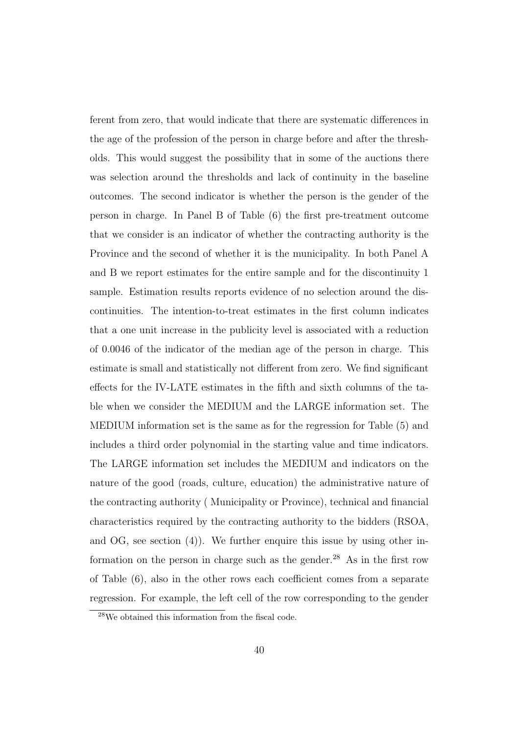ferent from zero, that would indicate that there are systematic differences in the age of the profession of the person in charge before and after the thresholds. This would suggest the possibility that in some of the auctions there was selection around the thresholds and lack of continuity in the baseline outcomes. The second indicator is whether the person is the gender of the person in charge. In Panel B of Table (6) the first pre-treatment outcome that we consider is an indicator of whether the contracting authority is the Province and the second of whether it is the municipality. In both Panel A and B we report estimates for the entire sample and for the discontinuity 1 sample. Estimation results reports evidence of no selection around the discontinuities. The intention-to-treat estimates in the first column indicates that a one unit increase in the publicity level is associated with a reduction of 0.0046 of the indicator of the median age of the person in charge. This estimate is small and statistically not different from zero. We find significant effects for the IV-LATE estimates in the fifth and sixth columns of the table when we consider the MEDIUM and the LARGE information set. The MEDIUM information set is the same as for the regression for Table (5) and includes a third order polynomial in the starting value and time indicators. The LARGE information set includes the MEDIUM and indicators on the nature of the good (roads, culture, education) the administrative nature of the contracting authority ( Municipality or Province), technical and financial characteristics required by the contracting authority to the bidders (RSOA, and OG, see section (4)). We further enquire this issue by using other information on the person in charge such as the gender.<sup>28</sup> As in the first row of Table (6), also in the other rows each coefficient comes from a separate regression. For example, the left cell of the row corresponding to the gender

<sup>28</sup>We obtained this information from the fiscal code.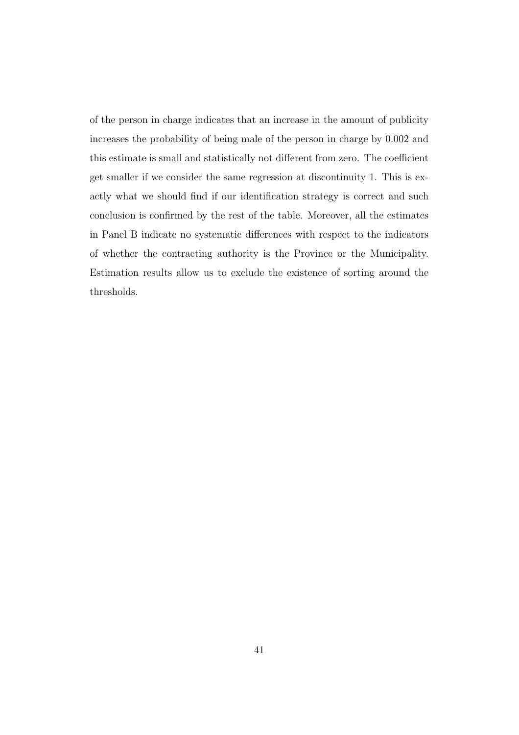of the person in charge indicates that an increase in the amount of publicity increases the probability of being male of the person in charge by 0.002 and this estimate is small and statistically not different from zero. The coefficient get smaller if we consider the same regression at discontinuity 1. This is exactly what we should find if our identification strategy is correct and such conclusion is confirmed by the rest of the table. Moreover, all the estimates in Panel B indicate no systematic differences with respect to the indicators of whether the contracting authority is the Province or the Municipality. Estimation results allow us to exclude the existence of sorting around the thresholds.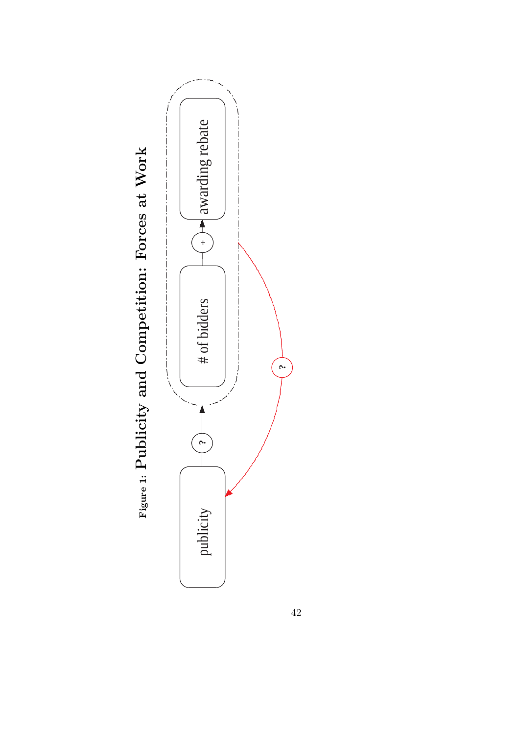

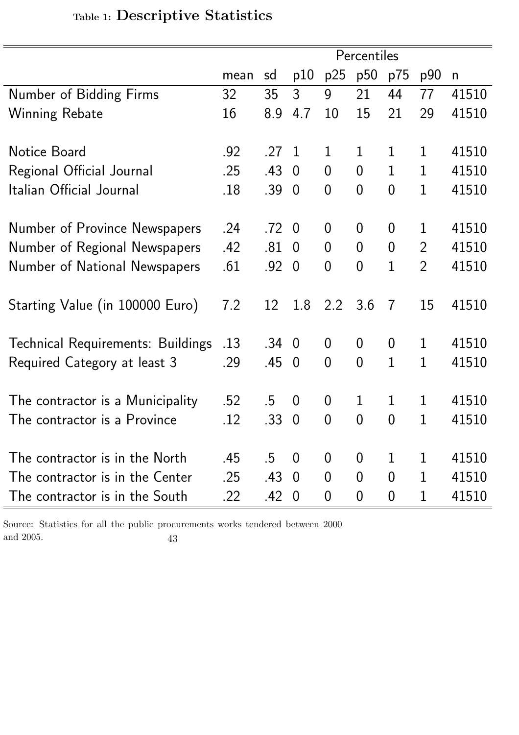|                                          |      |              |                |                  | Percentiles    |                |                |              |
|------------------------------------------|------|--------------|----------------|------------------|----------------|----------------|----------------|--------------|
|                                          | mean | sd           | p10            | p25              | p50            | p75            | p90            | $\mathsf{n}$ |
| Number of Bidding Firms                  | 32   | 35           | 3              | 9                | 21             | 44             | 77             | 41510        |
| <b>Winning Rebate</b>                    | 16   | 8.9          | 4.7            | 10               | 15             | 21             | 29             | 41510        |
|                                          |      |              |                |                  |                |                |                |              |
| Notice Board                             | .92  | .27          | $\overline{1}$ | $\mathbf 1$      | $\mathbf 1$    | 1              | 1              | 41510        |
| Regional Official Journal                | .25  | .43          | $\overline{0}$ | $\overline{0}$   | $\overline{0}$ | $\mathbf{1}$   | $\mathbf 1$    | 41510        |
| Italian Official Journal                 | .18  | .39          | $\overline{0}$ | $\overline{0}$   | $\overline{0}$ | $\overline{0}$ | $\mathbf 1$    | 41510        |
|                                          |      |              |                |                  |                |                |                |              |
| Number of Province Newspapers            | .24  | .72          | $\overline{0}$ | $\overline{0}$   | $\overline{0}$ | $\overline{0}$ | 1              | 41510        |
| Number of Regional Newspapers            | .42  | .81          | $\overline{0}$ | $\overline{0}$   | $\overline{0}$ | $\overline{0}$ | $\overline{2}$ | 41510        |
| Number of National Newspapers            | .61  | .92          | $\overline{0}$ | $\overline{0}$   | $\overline{0}$ | $\mathbf{1}$   | $\overline{2}$ | 41510        |
|                                          |      |              |                |                  |                |                |                |              |
| Starting Value (in 100000 Euro)          | 7.2  | 12           | 1.8            | 2.2              | 3.6            | $\overline{7}$ | 15             | 41510        |
|                                          |      |              |                |                  |                |                |                |              |
| <b>Technical Requirements: Buildings</b> | .13  | $.34 \ 0$    |                | $\boldsymbol{0}$ | $\overline{0}$ | $\overline{0}$ | $\mathbf 1$    | 41510        |
| Required Category at least 3             | .29  | .45          | $\overline{0}$ | $\overline{0}$   | $\overline{0}$ | $\overline{1}$ | $\mathbf{1}$   | 41510        |
|                                          |      |              |                |                  |                |                |                |              |
| The contractor is a Municipality         | .52  | .5           | $\overline{0}$ | $\overline{0}$   | $\mathbf 1$    | $\mathbf 1$    | 1              | 41510        |
| The contractor is a Province             | .12  | .33          | $\overline{0}$ | $\overline{0}$   | $\overline{0}$ | $\overline{0}$ | 1              | 41510        |
|                                          |      |              |                |                  |                |                |                |              |
| The contractor is in the North           | .45  | $.5 \quad 0$ |                | $\overline{0}$   | $\overline{0}$ | $\mathbf 1$    | 1              | 41510        |
| The contractor is in the Center          | .25  | $.43 \ 0$    |                | $\overline{0}$   | $\overline{0}$ | $\overline{0}$ | 1              | 41510        |
| The contractor is in the South           | .22  | .42          | $\overline{0}$ | $\overline{0}$   | $\overline{0}$ | $\overline{0}$ | 1              | 41510        |

# Table 1: Descriptive Statistics

Source: Statistics for all the public procurements works tendered between 2000 and 2005. 43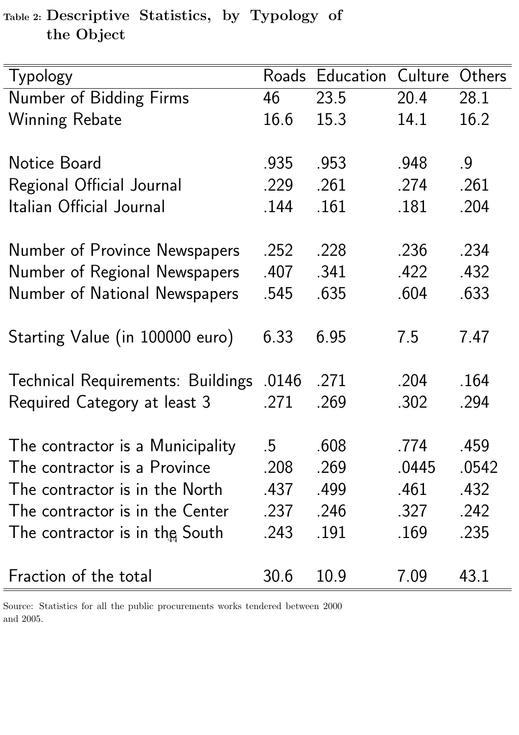Table 2: Descriptive Statistics, by Typology of the Object

| Typology                                 |        | Roads Education | Culture | Others |
|------------------------------------------|--------|-----------------|---------|--------|
| Number of Bidding Firms                  | 46     | 23.5            | 20.4    | 28.1   |
| <b>Winning Rebate</b>                    | 16.6   | 15.3            | 14.1    | 16.2   |
|                                          |        |                 |         |        |
| Notice Board                             | .935   | .953            | .948    | .9     |
| Regional Official Journal                | .229   | .261            | .274    | .261   |
| Italian Official Journal                 | .144   | .161            | .181    | .204   |
| Number of Province Newspapers            | .252   | .228            | .236    | .234   |
| Number of Regional Newspapers            | .407   | .341            | 422     | .432   |
| Number of National Newspapers            | .545   | .635            | .604    | .633   |
|                                          |        |                 |         |        |
| Starting Value (in 100000 euro)          | 6.33   | 6.95            | 7.5     | 7.47   |
| <b>Technical Requirements: Buildings</b> | .0146  | .271            | .204    | .164   |
| Required Category at least 3             | .271   | .269            | .302    | .294   |
|                                          |        |                 |         |        |
| The contractor is a Municipality         | $.5\,$ | .608            | .774    | .459   |
| The contractor is a Province             | .208   | .269            | .0445   | .0542  |
| The contractor is in the North           | .437   | .499            | .461    | .432   |
| The contractor is in the Center          | .237   | .246            | .327    | .242   |
| The contractor is in the South           | .243   | .191            | .169    | .235   |
| Fraction of the total                    | 30.6   | 10.9            | 7.09    | 43.1   |

Source: Statistics for all the public procurements works tendered between 2000 and 2005.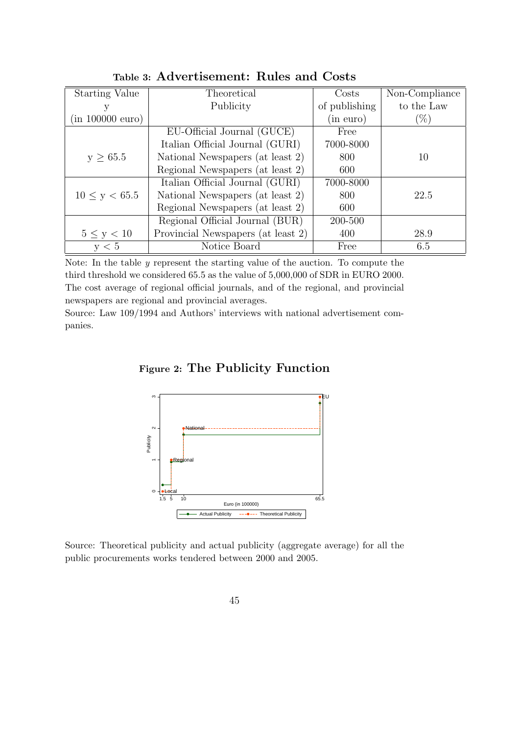| <b>Starting Value</b> | Theoretical                        | Costs         | Non-Compliance |
|-----------------------|------------------------------------|---------------|----------------|
|                       | Publicity                          | of publishing | to the Law     |
| (in 100000 euro)      |                                    | (in euro)     | $(\%)$         |
|                       | EU-Official Journal (GUCE)         | Free          |                |
|                       | Italian Official Journal (GURI)    | 7000-8000     |                |
| $y \geq 65.5$         | National Newspapers (at least 2)   | 800           | 10             |
|                       | Regional Newspapers (at least 2)   | 600           |                |
|                       | Italian Official Journal (GURI)    | 7000-8000     |                |
| $10 \le y < 65.5$     | National Newspapers (at least 2)   | 800           | 22.5           |
|                       | Regional Newspapers (at least 2)   | 600           |                |
|                       | Regional Official Journal (BUR)    | 200-500       |                |
| $5 \leq y < 10$       | Provincial Newspapers (at least 2) | 400           | 28.9           |
| v < 5                 | Notice Board                       | Free          | 6.5            |

Table 3: Advertisement: Rules and Costs

Note: In the table y represent the starting value of the auction. To compute the third threshold we considered 65.5 as the value of 5,000,000 of SDR in EURO 2000. The cost average of regional official journals, and of the regional, and provincial newspapers are regional and provincial averages.

Source: Law 109/1994 and Authors' interviews with national advertisement companies.

Figure 2: The Publicity Function



Source: Theoretical publicity and actual publicity (aggregate average) for all the public procurements works tendered between 2000 and 2005.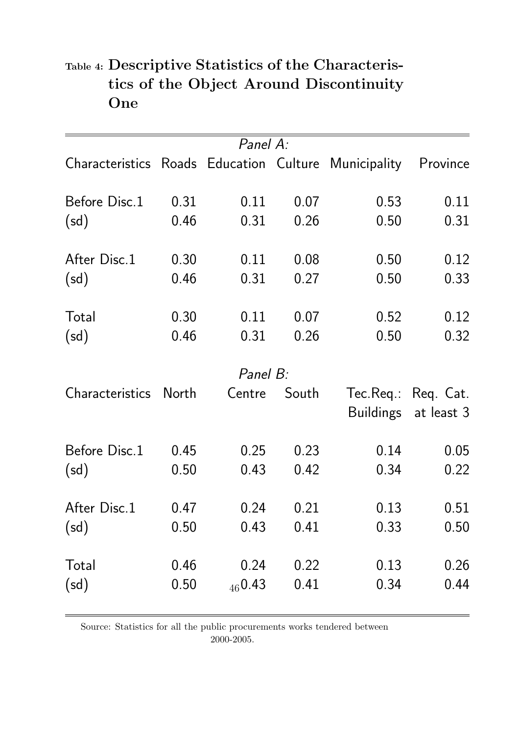|                                                      |       | Panel A: |       |      |                      |
|------------------------------------------------------|-------|----------|-------|------|----------------------|
| Characteristics Roads Education Culture Municipality |       |          |       |      | Province             |
| Before Disc.1                                        | 0.31  | 0.11     | 0.07  | 0.53 | 0.11                 |
| (sd)                                                 | 0.46  | 0.31     | 0.26  | 0.50 | 0.31                 |
| After Disc.1                                         | 0.30  | 0.11     | 0.08  | 0.50 | 0.12                 |
| (sd)                                                 | 0.46  | 0.31     | 0.27  | 0.50 | 0.33                 |
| Total                                                | 0.30  | 0.11     | 0.07  | 0.52 | 0.12                 |
| (sd)                                                 | 0.46  | 0.31     | 0.26  | 0.50 | 0.32                 |
|                                                      |       | Panel B: |       |      |                      |
| <b>Characteristics</b>                               | North | Centre   | South |      | Tec.Req.: Req. Cat.  |
|                                                      |       |          |       |      | Buildings at least 3 |
| Before Disc.1                                        | 0.45  | 0.25     | 0.23  | 0.14 | 0.05                 |
| (sd)                                                 | 0.50  | 0.43     | 0.42  | 0.34 | 0.22                 |
| After Disc.1                                         | 0.47  | 0.24     | 0.21  | 0.13 | 0.51                 |
| (sd)                                                 | 0.50  | 0.43     | 0.41  | 0.33 | 0.50                 |
| Total                                                | 0.46  | 0.24     | 0.22  | 0.13 | 0.26                 |
| (sd)                                                 | 0.50  | 460.43   | 0.41  | 0.34 | 0.44                 |

## Table 4: Descriptive Statistics of the Characteristics of the Object Around Discontinuity **One**

Source: Statistics for all the public procurements works tendered between 2000-2005.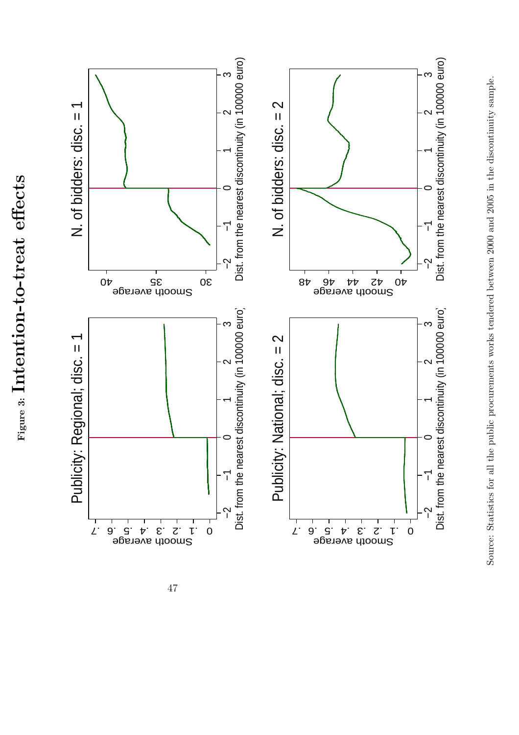

Source: Statistics for all the public procurements works tendered between 2000 and 2005 in the discontinuity sample. Source: Statistics for all the public procurements works tendered between 2000 and 2005 in the discontinuity sample.

 $_{\rm Figure~3:}$  Intention-to-treat effects

Figure 3: Intention-to-treat effects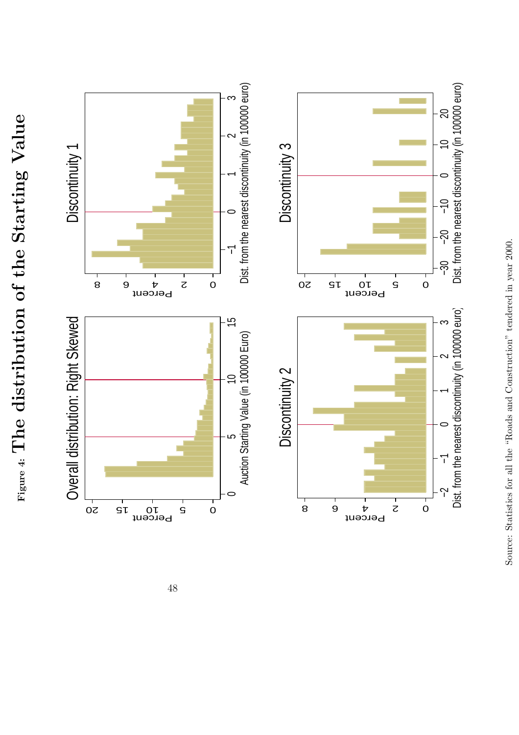$_{\text{Figure 4: The distribution of the Starting Value}}$  $_{\rm Figure~4:}\rm The~distribution~ of~ the~Starting~ Value$ 



48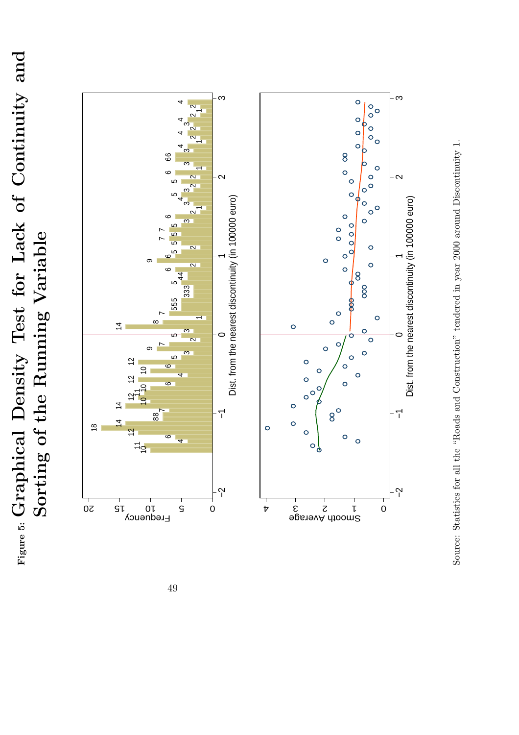Figure 5: Graphical Density Test for Lack of Continuity and<br>Sorting of the Running Variable  $F_{\text{figure 5: Graphical Density} \text{ Test for} \text{Lock of Continuity and} \ \approx \ \dots \text{.}$ Sorting of the Running Variable



Source: Statistics for all the "Roads and Construction" tendered in year 2000 around Discontinuity 1. Source: Statistics for all the "Roads and Construction" tendered in year 2000 around Discontinuity 1.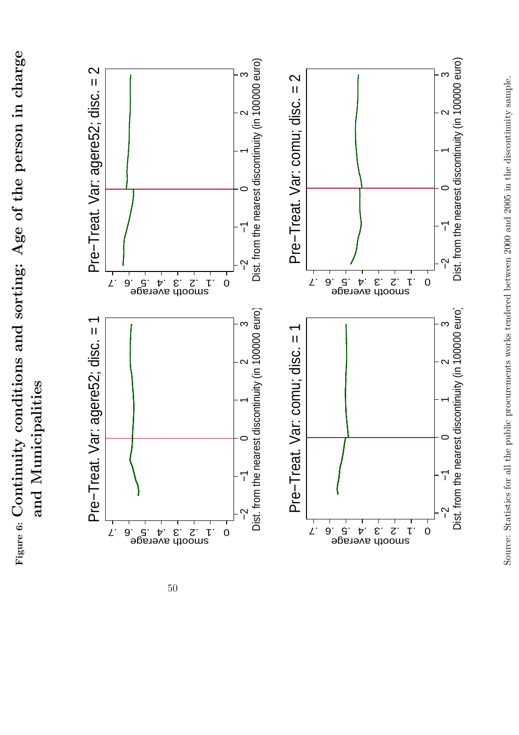Figure 6: Continuity conditions and sorting: Age of the person in charge  $_{\rm Figure~6:}$  Continuity conditions and sorting: Age of the person in charge and Municipalities and Municipalities



50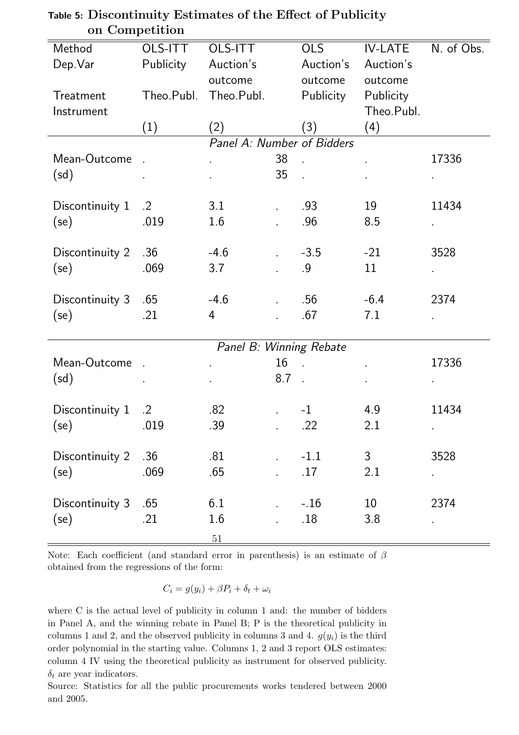| Method          | $\sim$<br>OLS-ITT | OLS-ITT                    |                           | <b>OLS</b>                 | <b>IV-LATE</b>  | N. of Obs. |
|-----------------|-------------------|----------------------------|---------------------------|----------------------------|-----------------|------------|
|                 |                   |                            |                           |                            |                 |            |
| Dep. Var        | <b>Publicity</b>  | Auction's                  |                           | Auction's                  | Auction's       |            |
|                 |                   | outcome                    |                           | outcome                    | outcome         |            |
| Treatment       | Theo.Publ.        | Theo.Publ.                 |                           | Publicity                  | Publicity       |            |
| Instrument      |                   |                            |                           |                            | Theo.Publ.      |            |
|                 | (1)               | (2)                        |                           | (3)                        | (4)             |            |
|                 |                   | Panel A: Number of Bidders |                           |                            |                 |            |
| Mean-Outcome    | $\mathbf{r}$      | ¥.                         | 38                        | $\mathcal{L}_{\text{eff}}$ |                 | 17336      |
| (sd)            |                   | L.                         | 35                        |                            |                 |            |
|                 |                   |                            |                           |                            |                 |            |
| Discontinuity 1 | $\cdot$ 2         | 3.1                        | $\mathbf{L}^{\text{max}}$ | .93                        | 19              | 11434      |
| (se)            | .019              | 1.6                        |                           | .96                        | 8.5             |            |
|                 |                   |                            |                           |                            |                 |            |
| Discontinuity 2 | .36               | $-4.6$                     | $\mathbf{r}$              | $-3.5$                     | $-21$           | 3528       |
| (se)            | .069              | 3.7                        |                           | .9                         | 11              |            |
|                 |                   |                            |                           |                            |                 |            |
| Discontinuity 3 | .65               | $-4.6$                     |                           | .56                        | $-6.4$          | 2374       |
| (se)            | .21               | 4                          |                           | .67                        | 7.1             |            |
|                 |                   |                            |                           |                            |                 |            |
|                 |                   | Panel B: Winning Rebate    |                           |                            |                 |            |
| Mean-Outcome    | $\sim 10$         | ä,                         | 16                        | $\sim$                     |                 | 17336      |
| (sd)            |                   | ä,                         | 8.7                       | $\sim$                     |                 |            |
|                 |                   |                            |                           |                            |                 |            |
| Discontinuity 1 | $\cdot$ .2        | .82                        |                           | $-1$                       | 4.9             | 11434      |
| $(se)$ .019     |                   | .39                        |                           | .22                        | 2.1             |            |
|                 |                   |                            |                           |                            |                 |            |
| Discontinuity 2 | .36               | .81                        |                           | $-1.1$                     | $\mathfrak{Z}$  | 3528       |
| (se)            | .069              | .65                        |                           | .17                        | 2.1             |            |
|                 |                   |                            |                           |                            |                 |            |
| Discontinuity 3 | .65               | 6.1                        |                           | $-.16$                     | 10 <sup>°</sup> | 2374       |
| (se)            | .21               | 1.6                        |                           | .18                        | 3.8             |            |
|                 |                   |                            |                           |                            |                 |            |
|                 |                   | $51\,$                     |                           |                            |                 |            |

### Table 5: Discontinuity Estimates of the Effect of Publicity on Competition

Note: Each coefficient (and standard error in parenthesis) is an estimate of  $\beta$ obtained from the regressions of the form:

$$
C_i = g(y_i) + \beta P_i + \delta_t + \omega_i
$$

where C is the actual level of publicity in column 1 and: the number of bidders in Panel A, and the winning rebate in Panel B; P is the theoretical publicity in columns 1 and 2, and the observed publicity in columns 3 and 4.  $g(y_i)$  is the third order polynomial in the starting value. Columns 1, 2 and 3 report OLS estimates: column 4 IV using the theoretical publicity as instrument for observed publicity.  $\delta_t$  are year indicators.

Source: Statistics for all the public procurements works tendered between 2000 and 2005.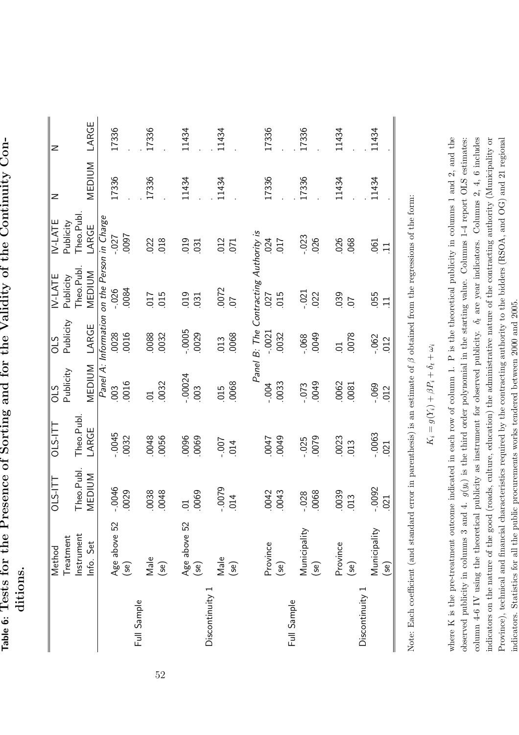Table 6: Tests for the Presence of Sorting and for the Validity of the Continuity Con-Table 6: Tests for the Presence of Sorting and for the Validity of the Continuity Conditions.

| Theo.Publ.<br>Theo.Publ. |
|--------------------------|
| LARGE                    |
| $-0.0045$                |
| .0032                    |
| 0048                     |
| .0056                    |
| 0096                     |
| .0069                    |
| $-00$ .                  |
| 014                      |
|                          |
| 0047                     |
| 0049                     |
| $-0.025$                 |
| 0079                     |
| 0081<br>.0023            |
| .013                     |
| $-0.0063$                |
| .021                     |

52

Note: Each coefficient (and standard error in parenthesis) is an estimate of  $\beta$  obtained from the regressions of the form: Note: Each coefficient (and standard error in parenthesis) is an estimate of β obtained from the regressions of the form:

$$
K_i=g(Y_i)+\beta P_i+\delta_t+\omega_i
$$

where K is the pre-treatment outcome indicated in each row of column 1. P is the theoretical publicity in columns 1 and 2, and the observed publicity in columns 3 and 4.  $g(y_i)$  is the third order polynomial in the starting value. Columns 1-4 report OLS estimates: column 4-6 IV using the theoretical publicity as instrument for observed publicity.  $\delta_t$  are year indicators. Columns 2, 4, 6 includes column 4-6 IV using the theoretical publicity as instrument for observed publicity.  $\delta_t$  are year indicators. Columns 2, 4, 6 includes indicators on the nature of the good (roads, culture, education) the administrative nature of the contracting authority (Municipality or Province), technical and financial characteristics required by the contracting authority to the bidders (RSOA, and OG) and 21 regional where K is the pre-treatment outcome indicated in each row of column 1. P is the theoretical publicity in columns 1 and 2, and the observed publicity in columns 3 and 4.  $g(y_i)$  is the third order polynomial in the starting value. Columns 1-4 report OLS estimates: indicators on the nature of the good (roads, culture, education) the administrative nature of the contracting authority (Municipality or Province), technical and financial characteristics required by the contracting authority to the bidders (RSOA, and OG) and 21 regional indicators. Statistics for all the public procurements works tendered between 2000 and 2005. indicators. Statistics for all the public procurements works tendered between 2000 and 2005.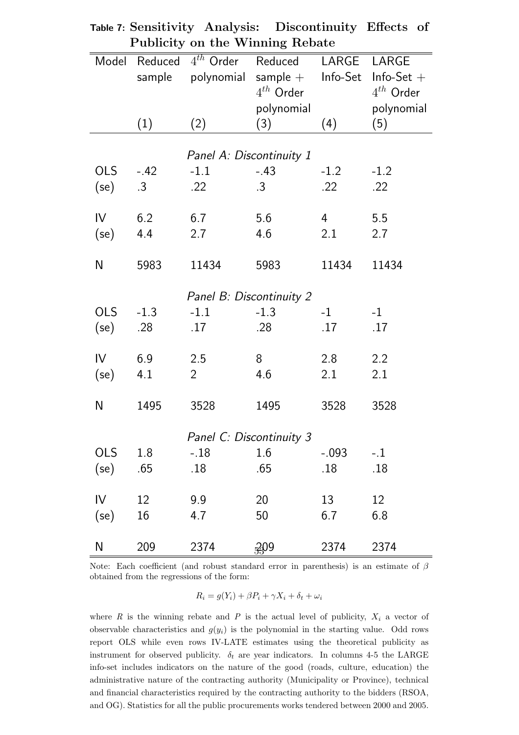|                 |                 | r ublicity on the willing rebate |                                           |                |                                |
|-----------------|-----------------|----------------------------------|-------------------------------------------|----------------|--------------------------------|
| Model           | Reduced         | $4^{th}$ Order                   | Reduced                                   | LARGE LARGE    |                                |
|                 | sample          |                                  | $polynomial$ sample $+$<br>$4^{th}$ Order | Info-Set       | $Info-Set +$<br>$4^{th}$ Order |
|                 |                 |                                  | polynomial                                |                | polynomial                     |
|                 | (1)             | (2)                              | (3)                                       | (4)            | (5)                            |
|                 |                 |                                  |                                           |                |                                |
|                 |                 | Panel A: Discontinuity 1         |                                           |                |                                |
| <b>OLS</b>      | $-.42$          | $-1.1$                           | $-.43$                                    | $-1.2$         | $-1.2$                         |
| (se)            | $.3\phantom{0}$ | .22                              | $.3\phantom{0}$                           | $.22\,$        | .22                            |
|                 |                 |                                  |                                           |                |                                |
| $\mathsf{IV}$   | 6.2             | 6.7                              | 5.6                                       | $\overline{4}$ | 5.5                            |
| (se)            | 4.4             | 2.7                              | 4.6                                       | 2.1            | 2.7                            |
|                 |                 |                                  |                                           |                |                                |
| N               | 5983            | 11434                            | 5983                                      | 11434          | 11434                          |
|                 |                 | Panel B: Discontinuity 2         |                                           |                |                                |
| <b>OLS</b>      | $-1.3$          | $-1.1$                           | $-1.3$                                    | $-1$           | $-1$                           |
| (se)            | .28             | .17                              | .28                                       | .17            | .17                            |
|                 |                 |                                  |                                           |                |                                |
| IV              | 6.9             | 2.5                              | 8                                         | 2.8            | 2.2                            |
| $(\mathsf{se})$ | 4.1             | $\overline{2}$                   | 4.6                                       | 2.1            | 2.1                            |
|                 |                 |                                  |                                           |                |                                |
| N               | 1495            | 3528                             | 1495                                      | 3528           | 3528                           |
|                 |                 |                                  |                                           |                |                                |
|                 |                 | Panel C: Discontinuity 3         |                                           |                |                                |
| <b>OLS</b>      | 1.8             | $-.18$                           | 1.6                                       | $-.093$        | $-.1$                          |
| (se)            | .65             | .18                              | .65                                       | $.18\,$        | .18                            |
|                 |                 |                                  |                                           |                |                                |
| $\mathsf{IV}$   | 12              | 9.9                              | 20                                        | 13             | 12                             |
| $(\mathsf{se})$ | 16              | 4.7                              | 50                                        | 6.7            | 6.8                            |
| N               | 209             | 2374                             | 209                                       | 2374           | 2374                           |

|                                 | Table 7: Sensitivity Analysis: Discontinuity Effects of |  |
|---------------------------------|---------------------------------------------------------|--|
| Publicity on the Winning Rebate |                                                         |  |

Note: Each coefficient (and robust standard error in parenthesis) is an estimate of  $\beta$ obtained from the regressions of the form:

 $R_i = g(Y_i) + \beta P_i + \gamma X_i + \delta_t + \omega_i$ 

where  $R$  is the winning rebate and  $P$  is the actual level of publicity,  $X_i$  a vector of observable characteristics and  $g(y_i)$  is the polynomial in the starting value. Odd rows report OLS while even rows IV-LATE estimates using the theoretical publicity as instrument for observed publicity.  $\delta_t$  are year indicators. In columns 4-5 the LARGE info-set includes indicators on the nature of the good (roads, culture, education) the administrative nature of the contracting authority (Municipality or Province), technical and financial characteristics required by the contracting authority to the bidders (RSOA, and OG). Statistics for all the public procurements works tendered between 2000 and 2005.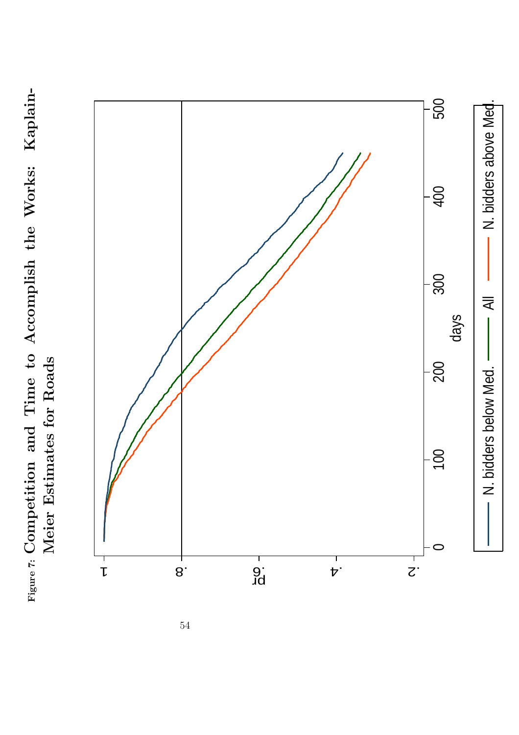Figure 7: Competition and Time to Accomplish the Works: Kaplain-Figure 7: Competition and Time to Accomplish the Works: Kaplain-Meier Estimates for Roads Meier Estimates for Roads